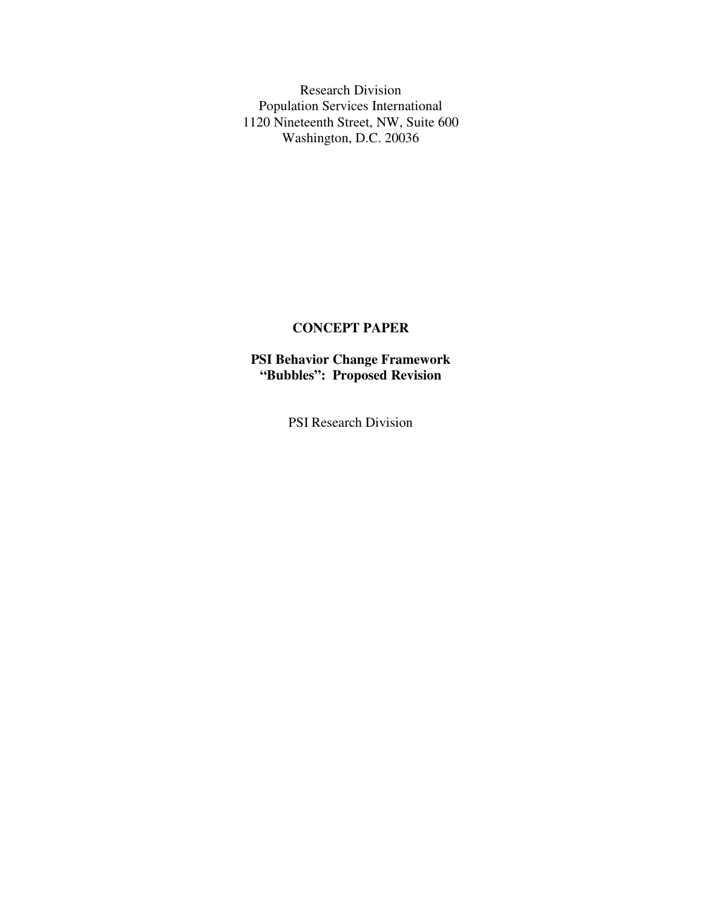Research Division Population Services International 1120 Nineteenth Street, NW, Suite 600 Washington, D.C. 20036

#### **CONCEPT PAPER**

**PSI Behavior Change Framework "Bubbles": Proposed Revision**

PSI Research Division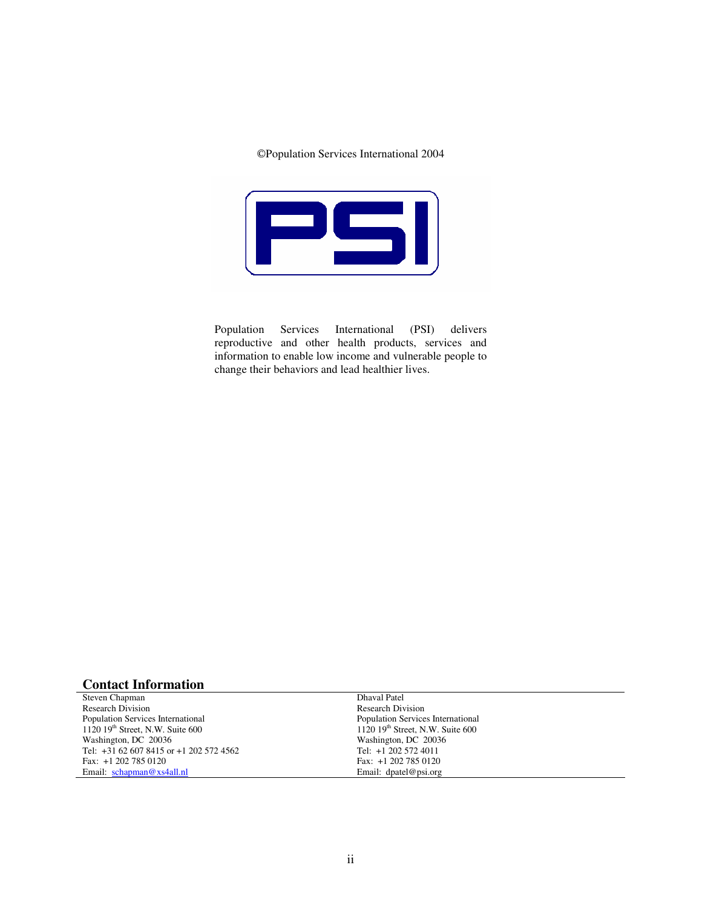#### Population Services International 2004



Population Services International (PSI) delivers reproductive and other health products, services and information to enable low income and vulnerable people to change their behaviors and lead healthier lives.

#### **Contact Information**

Steven Chapman Research Division Population Services International 1120 19<sup>th</sup> Street, N.W. Suite 600 Washington, DC 20036 Tel: +31 62 607 8415 or +1 202 572 4562 Fax: +1 202 785 0120 Email: schapman@xs4all.nl

Dhaval Patel Research Division Population Services International 1120 19<sup>th</sup> Street, N.W. Suite 600 Washington, DC 20036 Tel: +1 202 572 4011 Fax: +1 202 785 0120 Email: dpatel@psi.org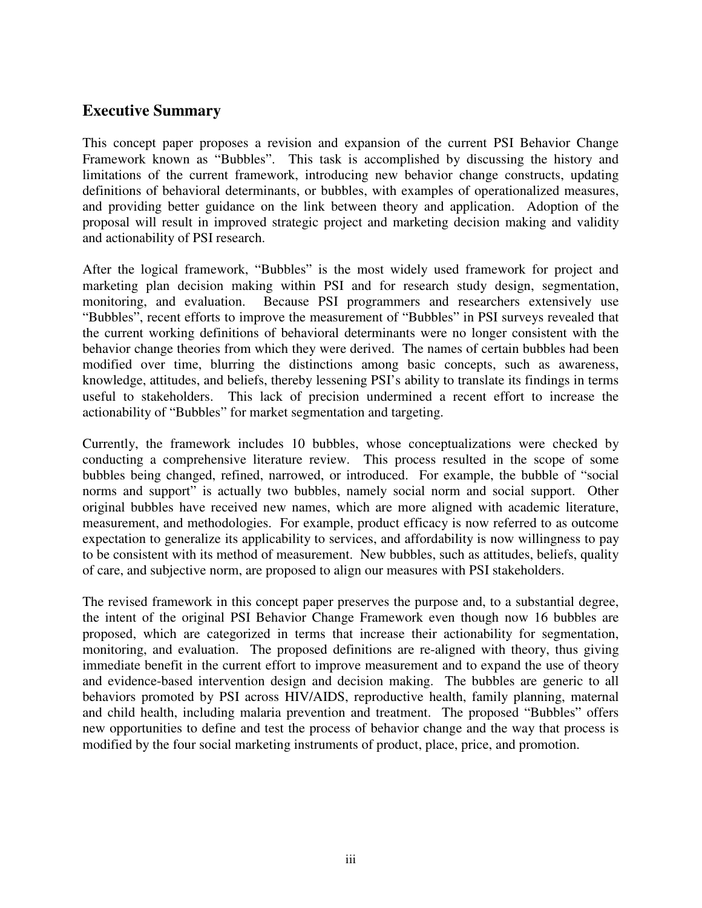## **Executive Summary**

This concept paper proposes a revision and expansion of the current PSI Behavior Change Framework known as "Bubbles". This task is accomplished by discussing the history and limitations of the current framework, introducing new behavior change constructs, updating definitions of behavioral determinants, or bubbles, with examples of operationalized measures, and providing better guidance on the link between theory and application. Adoption of the proposal will result in improved strategic project and marketing decision making and validity and actionability of PSI research.

After the logical framework, "Bubbles" is the most widely used framework for project and marketing plan decision making within PSI and for research study design, segmentation, monitoring, and evaluation. Because PSI programmers and researchers extensively use "Bubbles", recent efforts to improve the measurement of "Bubbles" in PSI surveys revealed that the current working definitions of behavioral determinants were no longer consistent with the behavior change theories from which they were derived. The names of certain bubbles had been modified over time, blurring the distinctions among basic concepts, such as awareness, knowledge, attitudes, and beliefs, thereby lessening PSI's ability to translate its findings in terms useful to stakeholders. This lack of precision undermined a recent effort to increase the actionability of "Bubbles" for market segmentation and targeting.

Currently, the framework includes 10 bubbles, whose conceptualizations were checked by conducting a comprehensive literature review. This process resulted in the scope of some bubbles being changed, refined, narrowed, or introduced. For example, the bubble of "social norms and support" is actually two bubbles, namely social norm and social support. Other original bubbles have received new names, which are more aligned with academic literature, measurement, and methodologies. For example, product efficacy is now referred to as outcome expectation to generalize its applicability to services, and affordability is now willingness to pay to be consistent with its method of measurement. New bubbles, such as attitudes, beliefs, quality of care, and subjective norm, are proposed to align our measures with PSI stakeholders.

The revised framework in this concept paper preserves the purpose and, to a substantial degree, the intent of the original PSI Behavior Change Framework even though now 16 bubbles are proposed, which are categorized in terms that increase their actionability for segmentation, monitoring, and evaluation. The proposed definitions are re-aligned with theory, thus giving immediate benefit in the current effort to improve measurement and to expand the use of theory and evidence-based intervention design and decision making. The bubbles are generic to all behaviors promoted by PSI across HIV/AIDS, reproductive health, family planning, maternal and child health, including malaria prevention and treatment. The proposed "Bubbles" offers new opportunities to define and test the process of behavior change and the way that process is modified by the four social marketing instruments of product, place, price, and promotion.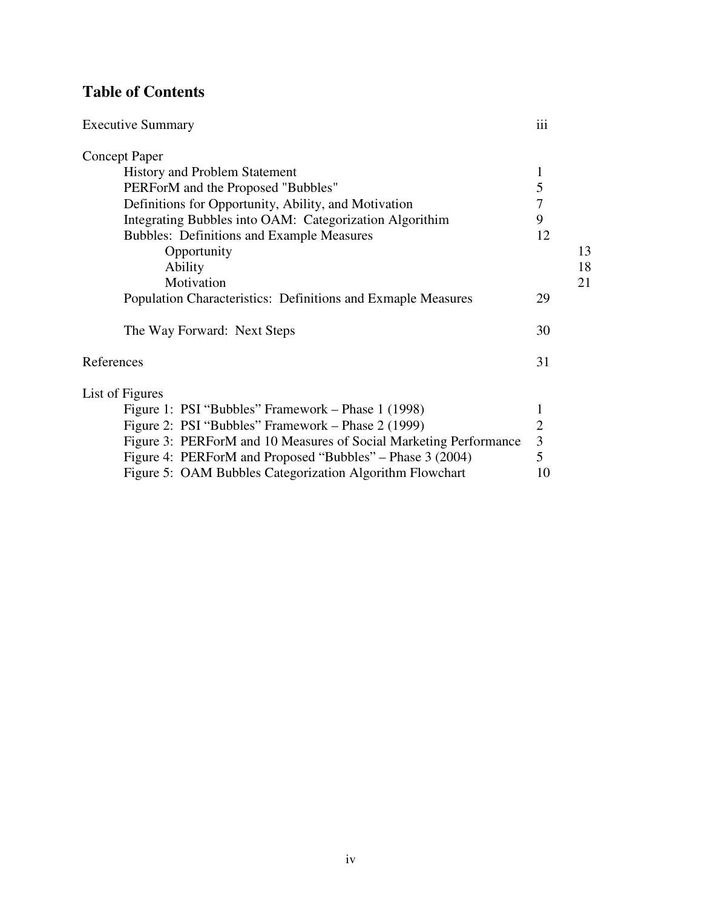# **Table of Contents**

| <b>Executive Summary</b>                                          | iii            |    |
|-------------------------------------------------------------------|----------------|----|
| <b>Concept Paper</b>                                              |                |    |
| <b>History and Problem Statement</b>                              | 1              |    |
| PERForM and the Proposed "Bubbles"                                | 5              |    |
| Definitions for Opportunity, Ability, and Motivation              | 7              |    |
| Integrating Bubbles into OAM: Categorization Algorithim           | 9              |    |
| <b>Bubbles: Definitions and Example Measures</b>                  | 12             |    |
| Opportunity                                                       |                | 13 |
| Ability                                                           |                | 18 |
| Motivation                                                        |                | 21 |
| Population Characteristics: Definitions and Exmaple Measures      | 29             |    |
| The Way Forward: Next Steps                                       | 30             |    |
| References                                                        | 31             |    |
| List of Figures                                                   |                |    |
| Figure 1: PSI "Bubbles" Framework – Phase 1 (1998)                | 1              |    |
| Figure 2: PSI "Bubbles" Framework – Phase 2 (1999)                | $\overline{2}$ |    |
| Figure 3: PERForM and 10 Measures of Social Marketing Performance | 3              |    |
| Figure 4: PERForM and Proposed "Bubbles" – Phase 3 (2004)         | 5              |    |
| Figure 5: OAM Bubbles Categorization Algorithm Flowchart          | 10             |    |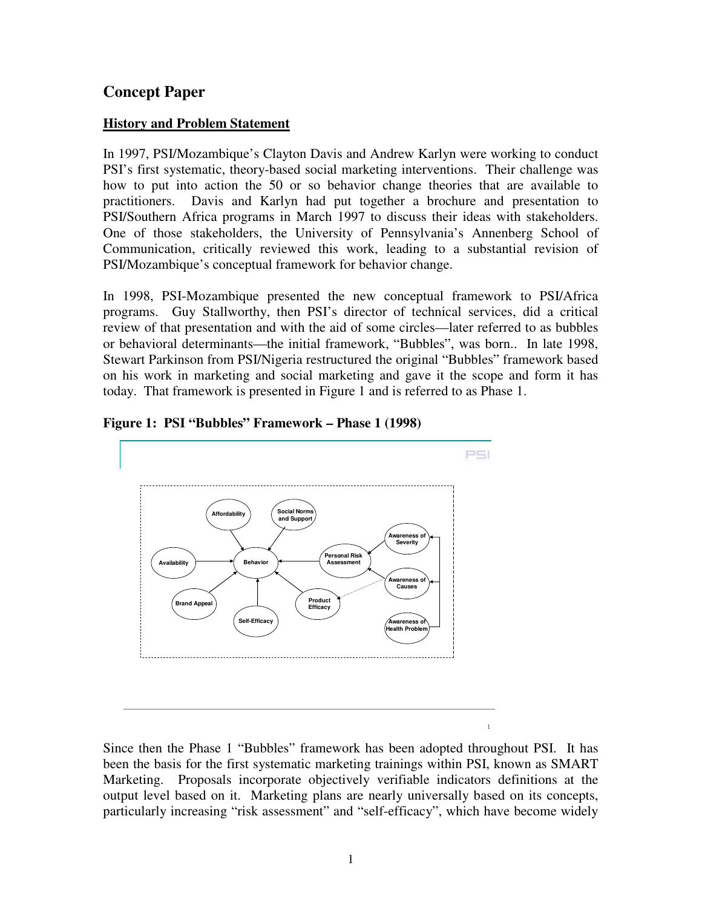# **Concept Paper**

#### **History and Problem Statement**

In 1997, PSI/Mozambique's Clayton Davis and Andrew Karlyn were working to conduct PSI's first systematic, theory-based social marketing interventions. Their challenge was how to put into action the 50 or so behavior change theories that are available to practitioners. Davis and Karlyn had put together a brochure and presentation to PSI/Southern Africa programs in March 1997 to discuss their ideas with stakeholders. One of those stakeholders, the University of Pennsylvania's Annenberg School of Communication, critically reviewed this work, leading to a substantial revision of PSI/Mozambique's conceptual framework for behavior change.

In 1998, PSI-Mozambique presented the new conceptual framework to PSI/Africa programs. Guy Stallworthy, then PSI's director of technical services, did a critical review of that presentation and with the aid of some circles—later referred to as bubbles or behavioral determinants—the initial framework, "Bubbles", was born.. In late 1998, Stewart Parkinson from PSI/Nigeria restructured the original "Bubbles" framework based on his work in marketing and social marketing and gave it the scope and form it has today. That framework is presented in Figure 1 and is referred to as Phase 1.





Since then the Phase 1 "Bubbles" framework has been adopted throughout PSI. It has been the basis for the first systematic marketing trainings within PSI, known as SMART Marketing. Proposals incorporate objectively verifiable indicators definitions at the output level based on it. Marketing plans are nearly universally based on its concepts, particularly increasing "risk assessment" and "self-efficacy", which have become widely

 $\overline{1}$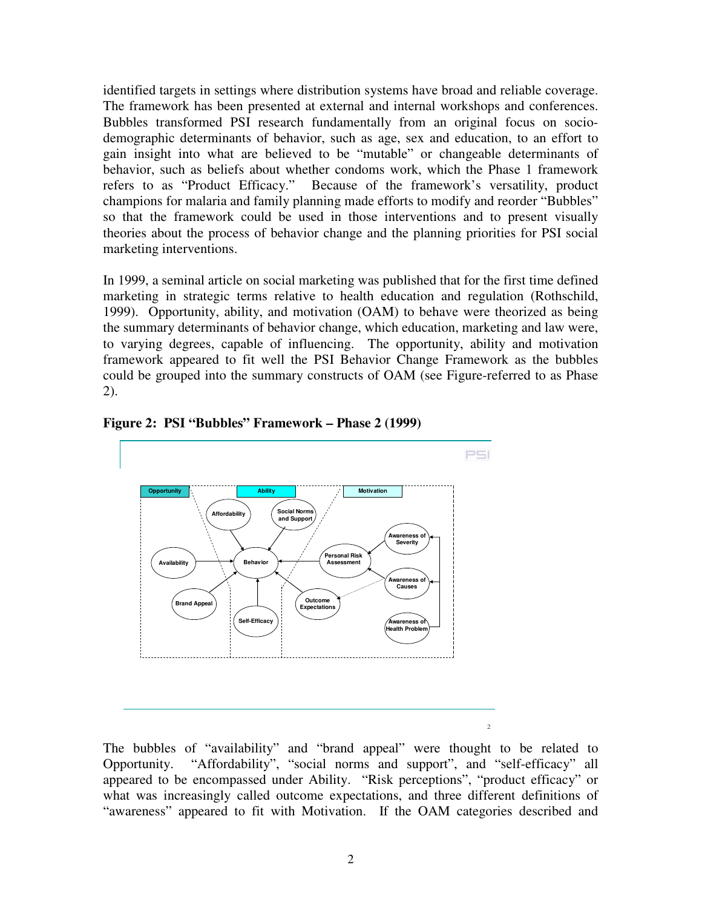identified targets in settings where distribution systems have broad and reliable coverage. The framework has been presented at external and internal workshops and conferences. Bubbles transformed PSI research fundamentally from an original focus on sociodemographic determinants of behavior, such as age, sex and education, to an effort to gain insight into what are believed to be "mutable" or changeable determinants of behavior, such as beliefs about whether condoms work, which the Phase 1 framework refers to as "Product Efficacy." Because of the framework's versatility, product champions for malaria and family planning made efforts to modify and reorder "Bubbles" so that the framework could be used in those interventions and to present visually theories about the process of behavior change and the planning priorities for PSI social marketing interventions.

In 1999, a seminal article on social marketing was published that for the first time defined marketing in strategic terms relative to health education and regulation (Rothschild, 1999). Opportunity, ability, and motivation (OAM) to behave were theorized as being the summary determinants of behavior change, which education, marketing and law were, to varying degrees, capable of influencing. The opportunity, ability and motivation framework appeared to fit well the PSI Behavior Change Framework as the bubbles could be grouped into the summary constructs of OAM (see Figure-referred to as Phase 2).



**Figure 2: PSI "Bubbles" Framework – Phase 2 (1999)**

The bubbles of "availability" and "brand appeal" were thought to be related to Opportunity. "Affordability", "social norms and support", and "self-efficacy" all appeared to be encompassed under Ability. "Risk perceptions", "product efficacy" or what was increasingly called outcome expectations, and three different definitions of "awareness" appeared to fit with Motivation. If the OAM categories described and

 $\overline{c}$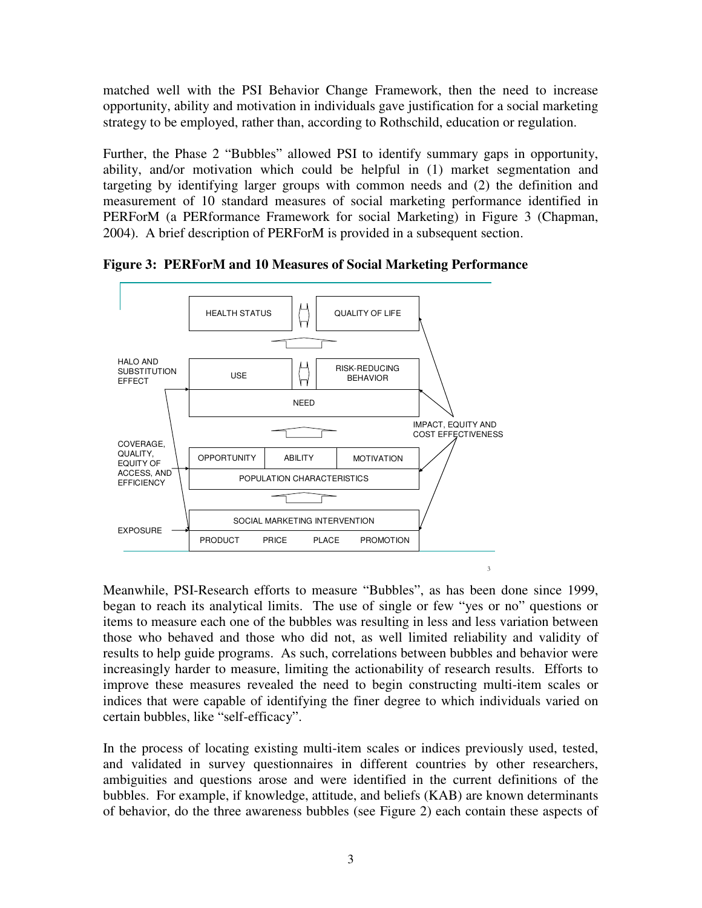matched well with the PSI Behavior Change Framework, then the need to increase opportunity, ability and motivation in individuals gave justification for a social marketing strategy to be employed, rather than, according to Rothschild, education or regulation.

Further, the Phase 2 "Bubbles" allowed PSI to identify summary gaps in opportunity, ability, and/or motivation which could be helpful in (1) market segmentation and targeting by identifying larger groups with common needs and (2) the definition and measurement of 10 standard measures of social marketing performance identified in PERForM (a PERformance Framework for social Marketing) in Figure 3 (Chapman, 2004). A brief description of PERForM is provided in a subsequent section.



**Figure 3: PERForM and 10 Measures of Social Marketing Performance**

Meanwhile, PSI-Research efforts to measure "Bubbles", as has been done since 1999, began to reach its analytical limits. The use of single or few "yes or no" questions or items to measure each one of the bubbles was resulting in less and less variation between those who behaved and those who did not, as well limited reliability and validity of results to help guide programs. As such, correlations between bubbles and behavior were increasingly harder to measure, limiting the actionability of research results. Efforts to improve these measures revealed the need to begin constructing multi-item scales or indices that were capable of identifying the finer degree to which individuals varied on certain bubbles, like "self-efficacy".

In the process of locating existing multi-item scales or indices previously used, tested, and validated in survey questionnaires in different countries by other researchers, ambiguities and questions arose and were identified in the current definitions of the bubbles. For example, if knowledge, attitude, and beliefs (KAB) are known determinants of behavior, do the three awareness bubbles (see Figure 2) each contain these aspects of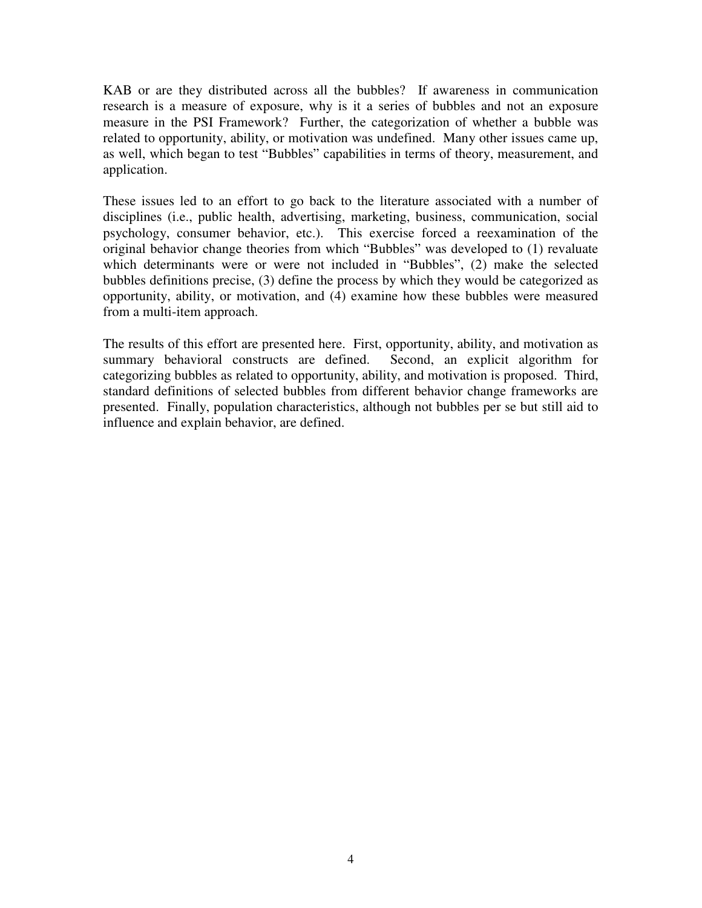KAB or are they distributed across all the bubbles? If awareness in communication research is a measure of exposure, why is it a series of bubbles and not an exposure measure in the PSI Framework? Further, the categorization of whether a bubble was related to opportunity, ability, or motivation was undefined. Many other issues came up, as well, which began to test "Bubbles" capabilities in terms of theory, measurement, and application.

These issues led to an effort to go back to the literature associated with a number of disciplines (i.e., public health, advertising, marketing, business, communication, social psychology, consumer behavior, etc.). This exercise forced a reexamination of the original behavior change theories from which "Bubbles" was developed to (1) revaluate which determinants were or were not included in "Bubbles", (2) make the selected bubbles definitions precise, (3) define the process by which they would be categorized as opportunity, ability, or motivation, and (4) examine how these bubbles were measured from a multi-item approach.

The results of this effort are presented here. First, opportunity, ability, and motivation as summary behavioral constructs are defined. Second, an explicit algorithm for categorizing bubbles as related to opportunity, ability, and motivation is proposed. Third, standard definitions of selected bubbles from different behavior change frameworks are presented. Finally, population characteristics, although not bubbles per se but still aid to influence and explain behavior, are defined.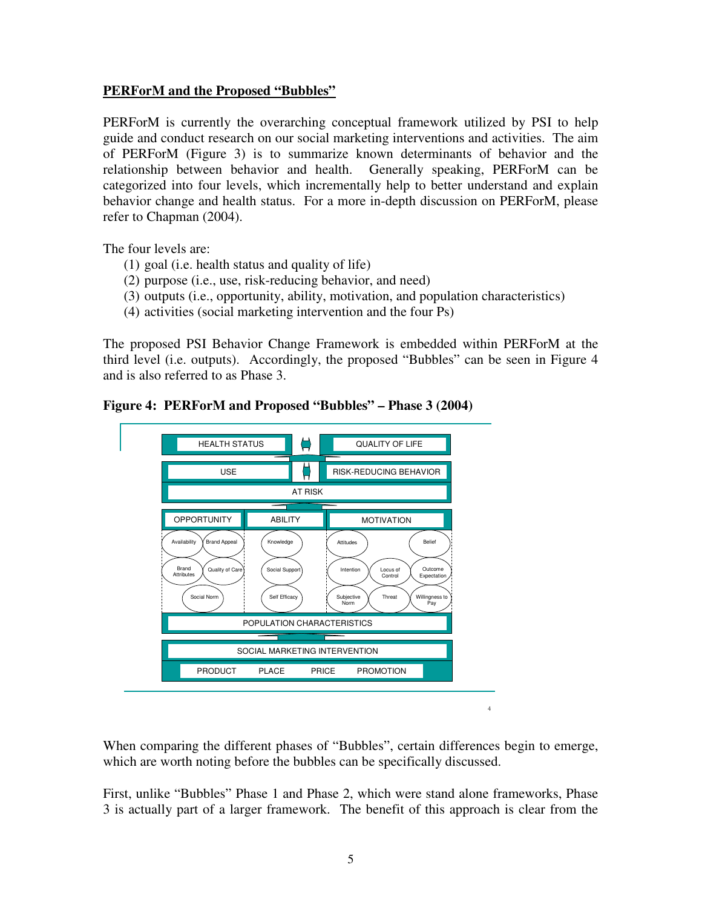#### **PERForM and the Proposed "Bubbles"**

PERForM is currently the overarching conceptual framework utilized by PSI to help guide and conduct research on our social marketing interventions and activities. The aim of PERForM (Figure 3) is to summarize known determinants of behavior and the relationship between behavior and health. Generally speaking, PERForM can be categorized into four levels, which incrementally help to better understand and explain behavior change and health status. For a more in-depth discussion on PERForM, please refer to Chapman (2004).

The four levels are:

- (1) goal (i.e. health status and quality of life)
- (2) purpose (i.e., use, risk-reducing behavior, and need)
- (3) outputs (i.e., opportunity, ability, motivation, and population characteristics)
- (4) activities (social marketing intervention and the four Ps)

The proposed PSI Behavior Change Framework is embedded within PERForM at the third level (i.e. outputs). Accordingly, the proposed "Bubbles" can be seen in Figure 4 and is also referred to as Phase 3.

**Figure 4: PERForM and Proposed "Bubbles" – Phase 3 (2004)**



When comparing the different phases of "Bubbles", certain differences begin to emerge, which are worth noting before the bubbles can be specifically discussed.

 $\overline{4}$ 

First, unlike "Bubbles" Phase 1 and Phase 2, which were stand alone frameworks, Phase 3 is actually part of a larger framework. The benefit of this approach is clear from the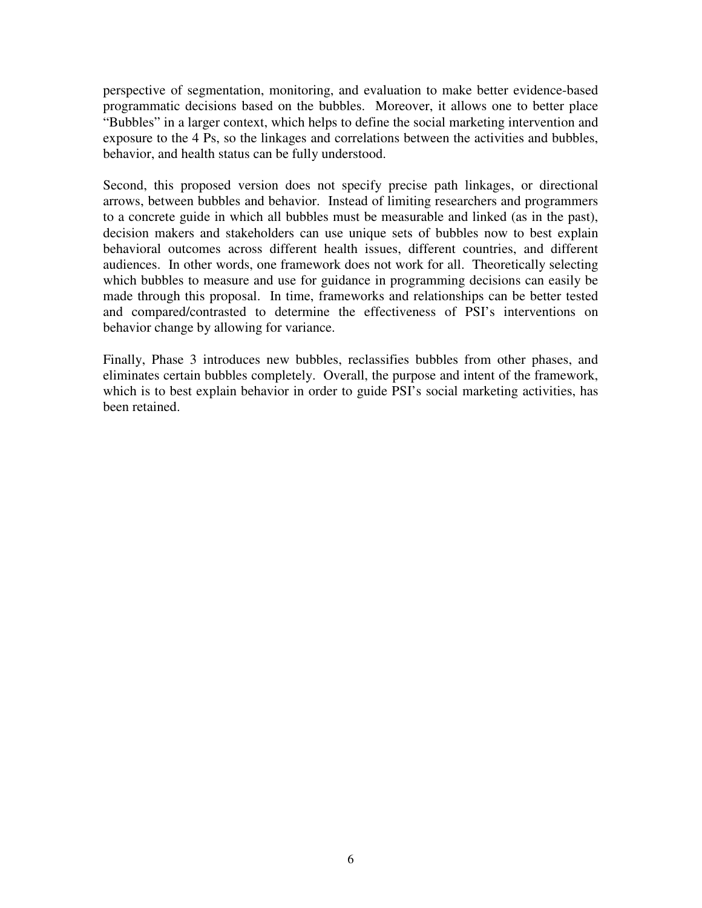perspective of segmentation, monitoring, and evaluation to make better evidence-based programmatic decisions based on the bubbles. Moreover, it allows one to better place "Bubbles" in a larger context, which helps to define the social marketing intervention and exposure to the 4 Ps, so the linkages and correlations between the activities and bubbles, behavior, and health status can be fully understood.

Second, this proposed version does not specify precise path linkages, or directional arrows, between bubbles and behavior. Instead of limiting researchers and programmers to a concrete guide in which all bubbles must be measurable and linked (as in the past), decision makers and stakeholders can use unique sets of bubbles now to best explain behavioral outcomes across different health issues, different countries, and different audiences. In other words, one framework does not work for all. Theoretically selecting which bubbles to measure and use for guidance in programming decisions can easily be made through this proposal. In time, frameworks and relationships can be better tested and compared/contrasted to determine the effectiveness of PSI's interventions on behavior change by allowing for variance.

Finally, Phase 3 introduces new bubbles, reclassifies bubbles from other phases, and eliminates certain bubbles completely. Overall, the purpose and intent of the framework, which is to best explain behavior in order to guide PSI's social marketing activities, has been retained.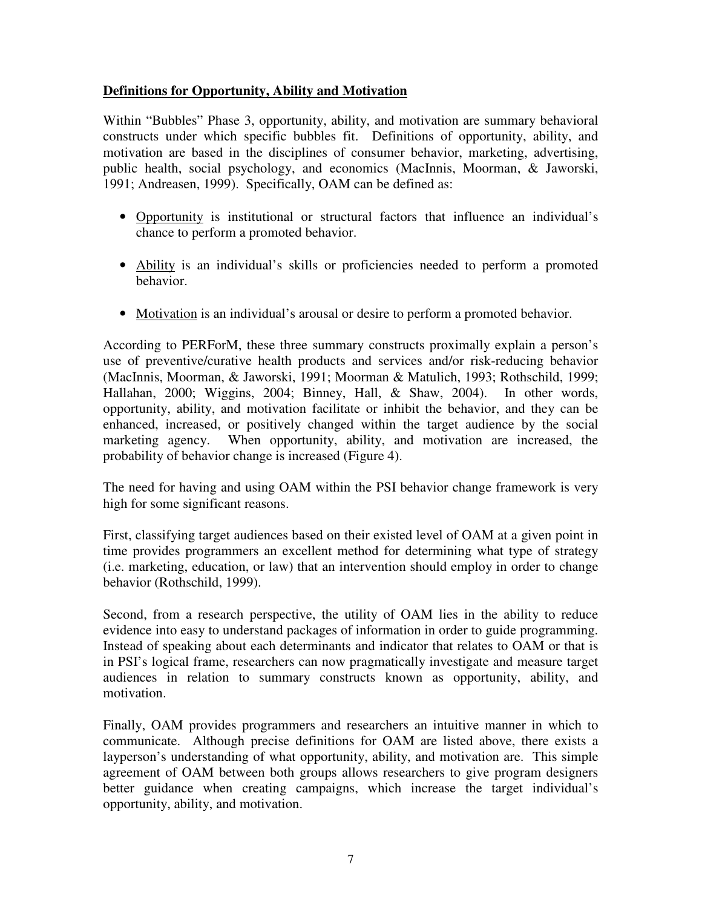#### **Definitions for Opportunity, Ability and Motivation**

Within "Bubbles" Phase 3, opportunity, ability, and motivation are summary behavioral constructs under which specific bubbles fit. Definitions of opportunity, ability, and motivation are based in the disciplines of consumer behavior, marketing, advertising, public health, social psychology, and economics (MacInnis, Moorman, & Jaworski, 1991; Andreasen, 1999). Specifically, OAM can be defined as:

- Opportunity is institutional or structural factors that influence an individual's chance to perform a promoted behavior.
- Ability is an individual's skills or proficiencies needed to perform a promoted behavior.
- Motivation is an individual's arousal or desire to perform a promoted behavior.

According to PERForM, these three summary constructs proximally explain a person's use of preventive/curative health products and services and/or risk-reducing behavior (MacInnis, Moorman, & Jaworski, 1991; Moorman & Matulich, 1993; Rothschild, 1999; Hallahan, 2000; Wiggins, 2004; Binney, Hall, & Shaw, 2004). In other words, opportunity, ability, and motivation facilitate or inhibit the behavior, and they can be enhanced, increased, or positively changed within the target audience by the social marketing agency. When opportunity, ability, and motivation are increased, the probability of behavior change is increased (Figure 4).

The need for having and using OAM within the PSI behavior change framework is very high for some significant reasons.

First, classifying target audiences based on their existed level of OAM at a given point in time provides programmers an excellent method for determining what type of strategy (i.e. marketing, education, or law) that an intervention should employ in order to change behavior (Rothschild, 1999).

Second, from a research perspective, the utility of OAM lies in the ability to reduce evidence into easy to understand packages of information in order to guide programming. Instead of speaking about each determinants and indicator that relates to OAM or that is in PSI's logical frame, researchers can now pragmatically investigate and measure target audiences in relation to summary constructs known as opportunity, ability, and motivation.

Finally, OAM provides programmers and researchers an intuitive manner in which to communicate. Although precise definitions for OAM are listed above, there exists a layperson's understanding of what opportunity, ability, and motivation are. This simple agreement of OAM between both groups allows researchers to give program designers better guidance when creating campaigns, which increase the target individual's opportunity, ability, and motivation.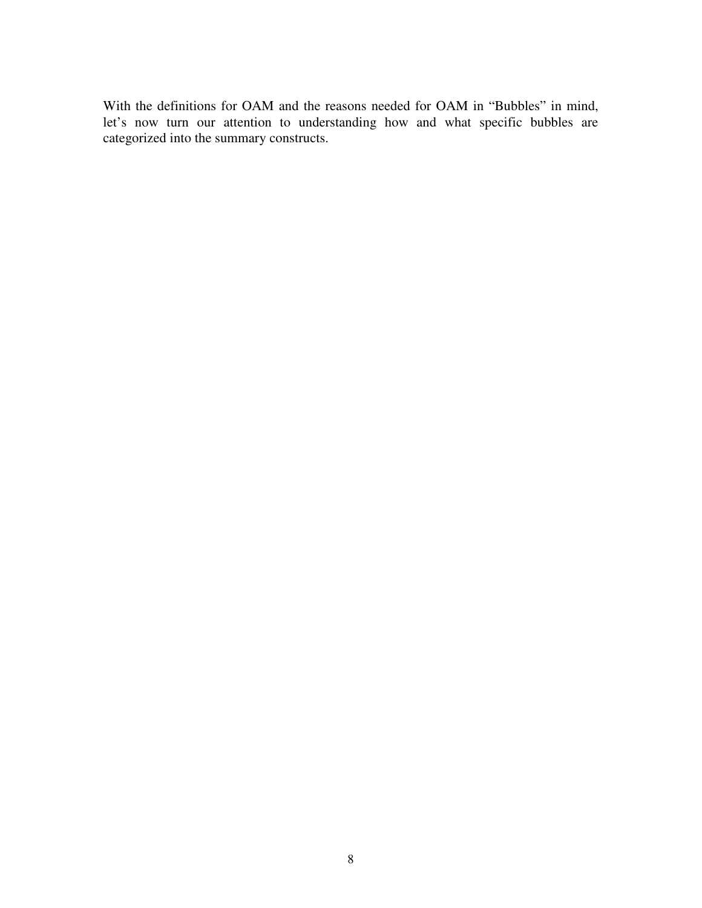With the definitions for OAM and the reasons needed for OAM in "Bubbles" in mind, let's now turn our attention to understanding how and what specific bubbles are categorized into the summary constructs.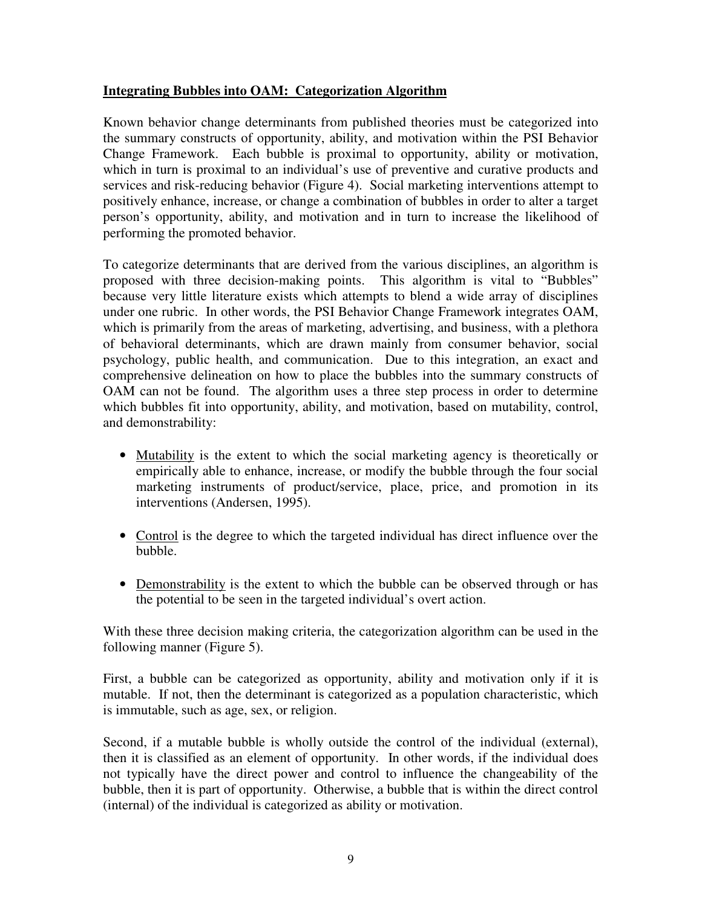## **Integrating Bubbles into OAM: Categorization Algorithm**

Known behavior change determinants from published theories must be categorized into the summary constructs of opportunity, ability, and motivation within the PSI Behavior Change Framework. Each bubble is proximal to opportunity, ability or motivation, which in turn is proximal to an individual's use of preventive and curative products and services and risk-reducing behavior (Figure 4). Social marketing interventions attempt to positively enhance, increase, or change a combination of bubbles in order to alter a target person's opportunity, ability, and motivation and in turn to increase the likelihood of performing the promoted behavior.

To categorize determinants that are derived from the various disciplines, an algorithm is proposed with three decision-making points. This algorithm is vital to "Bubbles" because very little literature exists which attempts to blend a wide array of disciplines under one rubric. In other words, the PSI Behavior Change Framework integrates OAM, which is primarily from the areas of marketing, advertising, and business, with a plethora of behavioral determinants, which are drawn mainly from consumer behavior, social psychology, public health, and communication. Due to this integration, an exact and comprehensive delineation on how to place the bubbles into the summary constructs of OAM can not be found. The algorithm uses a three step process in order to determine which bubbles fit into opportunity, ability, and motivation, based on mutability, control, and demonstrability:

- Mutability is the extent to which the social marketing agency is theoretically or empirically able to enhance, increase, or modify the bubble through the four social marketing instruments of product/service, place, price, and promotion in its interventions (Andersen, 1995).
- Control is the degree to which the targeted individual has direct influence over the bubble.
- Demonstrability is the extent to which the bubble can be observed through or has the potential to be seen in the targeted individual's overt action.

With these three decision making criteria, the categorization algorithm can be used in the following manner (Figure 5).

First, a bubble can be categorized as opportunity, ability and motivation only if it is mutable. If not, then the determinant is categorized as a population characteristic, which is immutable, such as age, sex, or religion.

Second, if a mutable bubble is wholly outside the control of the individual (external), then it is classified as an element of opportunity. In other words, if the individual does not typically have the direct power and control to influence the changeability of the bubble, then it is part of opportunity. Otherwise, a bubble that is within the direct control (internal) of the individual is categorized as ability or motivation.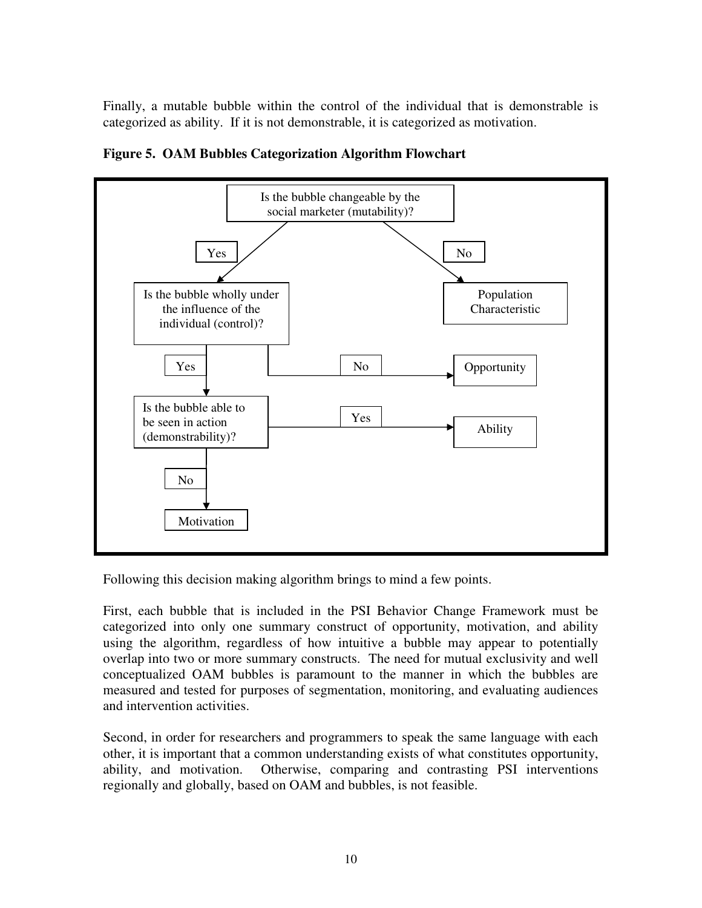Finally, a mutable bubble within the control of the individual that is demonstrable is categorized as ability. If it is not demonstrable, it is categorized as motivation.



**Figure 5. OAM Bubbles Categorization Algorithm Flowchart**

Following this decision making algorithm brings to mind a few points.

First, each bubble that is included in the PSI Behavior Change Framework must be categorized into only one summary construct of opportunity, motivation, and ability using the algorithm, regardless of how intuitive a bubble may appear to potentially overlap into two or more summary constructs. The need for mutual exclusivity and well conceptualized OAM bubbles is paramount to the manner in which the bubbles are measured and tested for purposes of segmentation, monitoring, and evaluating audiences and intervention activities.

Second, in order for researchers and programmers to speak the same language with each other, it is important that a common understanding exists of what constitutes opportunity, ability, and motivation. Otherwise, comparing and contrasting PSI interventions regionally and globally, based on OAM and bubbles, is not feasible.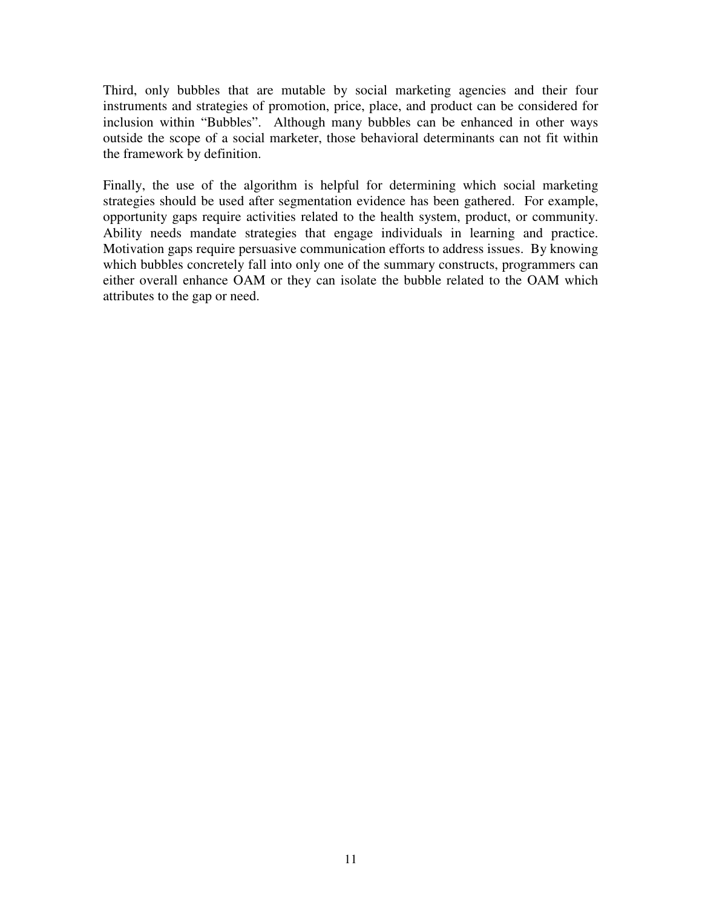Third, only bubbles that are mutable by social marketing agencies and their four instruments and strategies of promotion, price, place, and product can be considered for inclusion within "Bubbles". Although many bubbles can be enhanced in other ways outside the scope of a social marketer, those behavioral determinants can not fit within the framework by definition.

Finally, the use of the algorithm is helpful for determining which social marketing strategies should be used after segmentation evidence has been gathered. For example, opportunity gaps require activities related to the health system, product, or community. Ability needs mandate strategies that engage individuals in learning and practice. Motivation gaps require persuasive communication efforts to address issues. By knowing which bubbles concretely fall into only one of the summary constructs, programmers can either overall enhance OAM or they can isolate the bubble related to the OAM which attributes to the gap or need.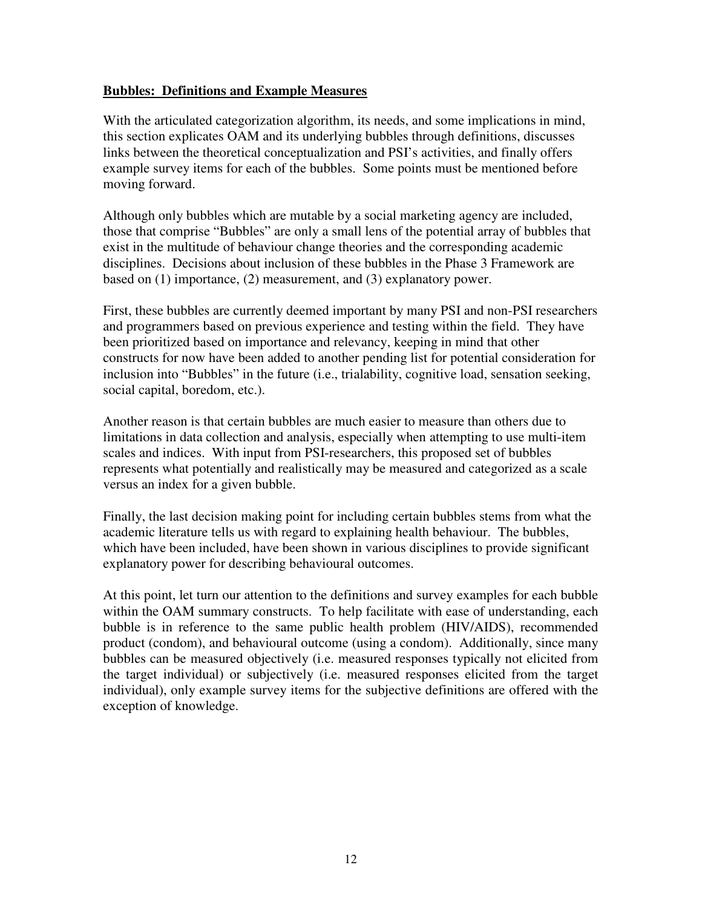#### **Bubbles: Definitions and Example Measures**

With the articulated categorization algorithm, its needs, and some implications in mind, this section explicates OAM and its underlying bubbles through definitions, discusses links between the theoretical conceptualization and PSI's activities, and finally offers example survey items for each of the bubbles. Some points must be mentioned before moving forward.

Although only bubbles which are mutable by a social marketing agency are included, those that comprise "Bubbles" are only a small lens of the potential array of bubbles that exist in the multitude of behaviour change theories and the corresponding academic disciplines. Decisions about inclusion of these bubbles in the Phase 3 Framework are based on (1) importance, (2) measurement, and (3) explanatory power.

First, these bubbles are currently deemed important by many PSI and non-PSI researchers and programmers based on previous experience and testing within the field. They have been prioritized based on importance and relevancy, keeping in mind that other constructs for now have been added to another pending list for potential consideration for inclusion into "Bubbles" in the future (i.e., trialability, cognitive load, sensation seeking, social capital, boredom, etc.).

Another reason is that certain bubbles are much easier to measure than others due to limitations in data collection and analysis, especially when attempting to use multi-item scales and indices. With input from PSI-researchers, this proposed set of bubbles represents what potentially and realistically may be measured and categorized as a scale versus an index for a given bubble.

Finally, the last decision making point for including certain bubbles stems from what the academic literature tells us with regard to explaining health behaviour. The bubbles, which have been included, have been shown in various disciplines to provide significant explanatory power for describing behavioural outcomes.

At this point, let turn our attention to the definitions and survey examples for each bubble within the OAM summary constructs. To help facilitate with ease of understanding, each bubble is in reference to the same public health problem (HIV/AIDS), recommended product (condom), and behavioural outcome (using a condom). Additionally, since many bubbles can be measured objectively (i.e. measured responses typically not elicited from the target individual) or subjectively (i.e. measured responses elicited from the target individual), only example survey items for the subjective definitions are offered with the exception of knowledge.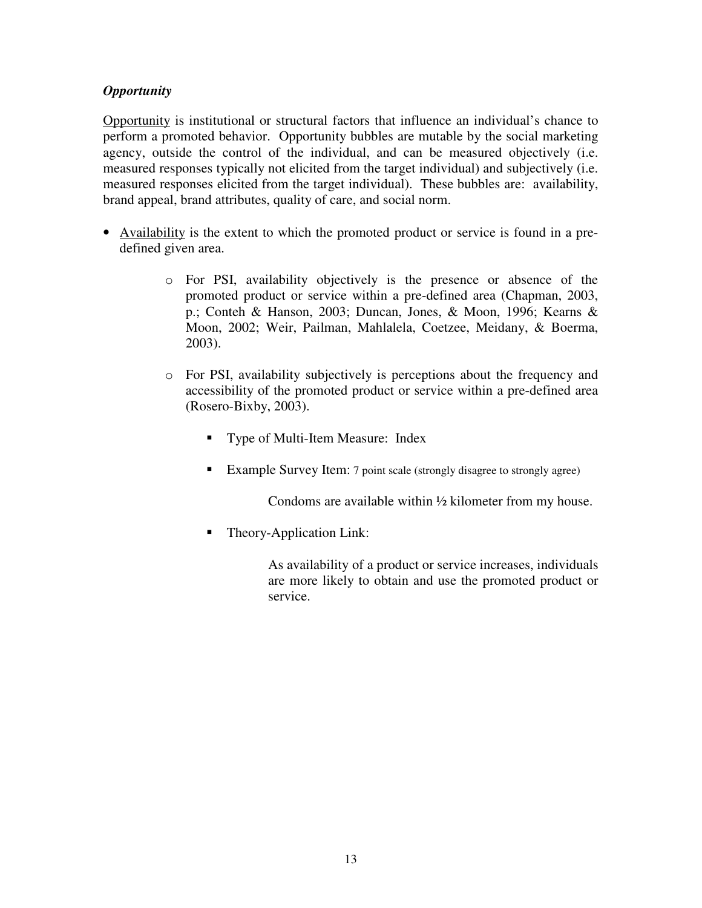## *Opportunity*

Opportunity is institutional or structural factors that influence an individual's chance to perform a promoted behavior. Opportunity bubbles are mutable by the social marketing agency, outside the control of the individual, and can be measured objectively (i.e. measured responses typically not elicited from the target individual) and subjectively (i.e. measured responses elicited from the target individual). These bubbles are: availability, brand appeal, brand attributes, quality of care, and social norm.

- Availability is the extent to which the promoted product or service is found in a predefined given area.
	- o For PSI, availability objectively is the presence or absence of the promoted product or service within a pre-defined area (Chapman, 2003, p.; Conteh & Hanson, 2003; Duncan, Jones, & Moon, 1996; Kearns & Moon, 2002; Weir, Pailman, Mahlalela, Coetzee, Meidany, & Boerma, 2003).
	- o For PSI, availability subjectively is perceptions about the frequency and accessibility of the promoted product or service within a pre-defined area (Rosero-Bixby, 2003).
		- **Type of Multi-Item Measure: Index**
		- Example Survey Item: 7 point scale (strongly disagree to strongly agree)

Condoms are available within ½ kilometer from my house.

- Theory-Application Link:
	- As availability of a product or service increases, individuals are more likely to obtain and use the promoted product or service.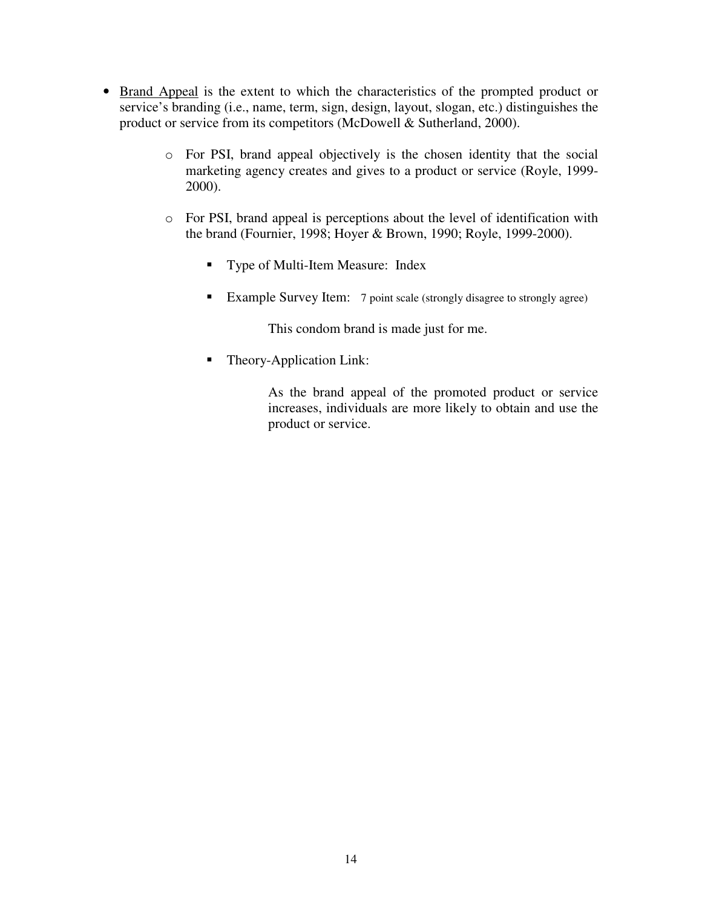- Brand Appeal is the extent to which the characteristics of the prompted product or service's branding (i.e., name, term, sign, design, layout, slogan, etc.) distinguishes the product or service from its competitors (McDowell & Sutherland, 2000).
	- o For PSI, brand appeal objectively is the chosen identity that the social marketing agency creates and gives to a product or service (Royle, 1999- 2000).
	- o For PSI, brand appeal is perceptions about the level of identification with the brand (Fournier, 1998; Hoyer & Brown, 1990; Royle, 1999-2000).
		- Type of Multi-Item Measure: Index
		- Example Survey Item: 7 point scale (strongly disagree to strongly agree)

This condom brand is made just for me.

■ Theory-Application Link:

As the brand appeal of the promoted product or service increases, individuals are more likely to obtain and use the product or service.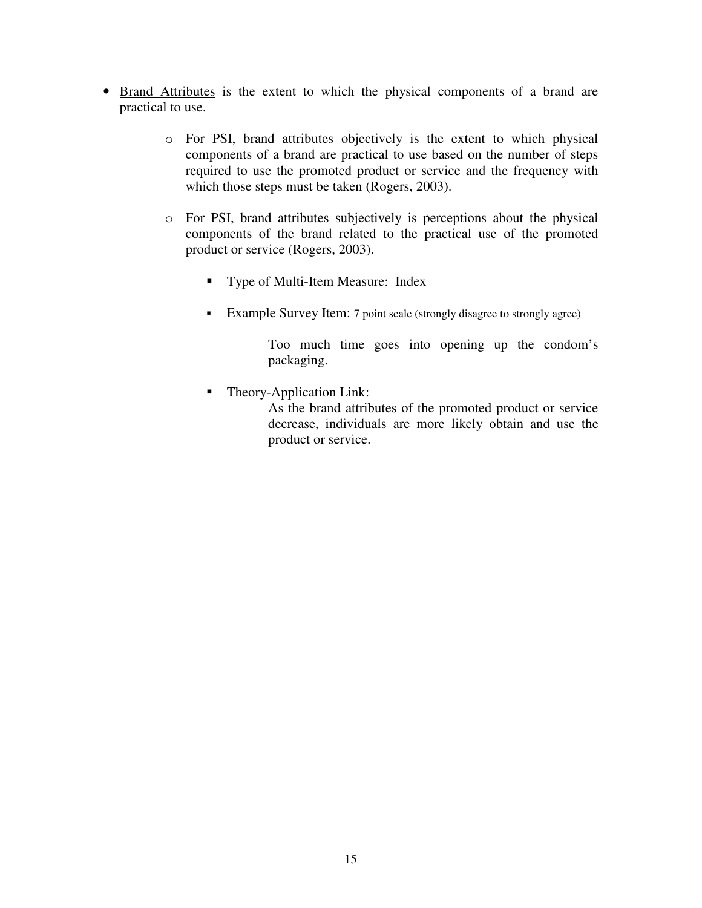- Brand Attributes is the extent to which the physical components of a brand are practical to use.
	- o For PSI, brand attributes objectively is the extent to which physical components of a brand are practical to use based on the number of steps required to use the promoted product or service and the frequency with which those steps must be taken (Rogers, 2003).
	- o For PSI, brand attributes subjectively is perceptions about the physical components of the brand related to the practical use of the promoted product or service (Rogers, 2003).
		- **Type of Multi-Item Measure: Index**
		- Example Survey Item: 7 point scale (strongly disagree to strongly agree)

Too much time goes into opening up the condom's packaging.

Theory-Application Link:

As the brand attributes of the promoted product or service decrease, individuals are more likely obtain and use the product or service.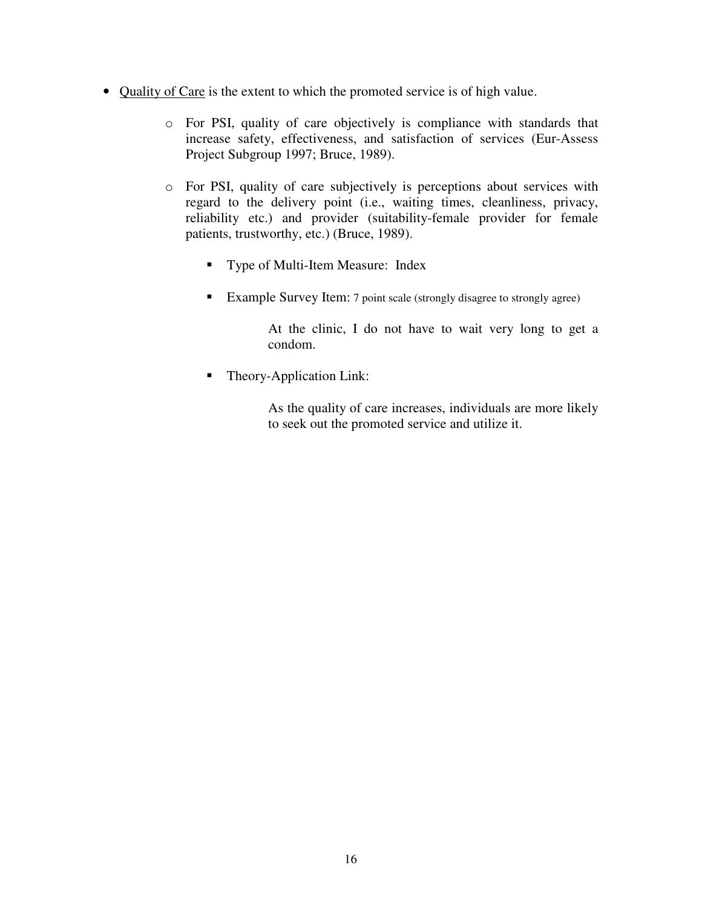- Quality of Care is the extent to which the promoted service is of high value.
	- o For PSI, quality of care objectively is compliance with standards that increase safety, effectiveness, and satisfaction of services (Eur-Assess Project Subgroup 1997; Bruce, 1989).
	- o For PSI, quality of care subjectively is perceptions about services with regard to the delivery point (i.e., waiting times, cleanliness, privacy, reliability etc.) and provider (suitability-female provider for female patients, trustworthy, etc.) (Bruce, 1989).
		- Type of Multi-Item Measure: Index
		- Example Survey Item: 7 point scale (strongly disagree to strongly agree)

At the clinic, I do not have to wait very long to get a condom.

• Theory-Application Link:

As the quality of care increases, individuals are more likely to seek out the promoted service and utilize it.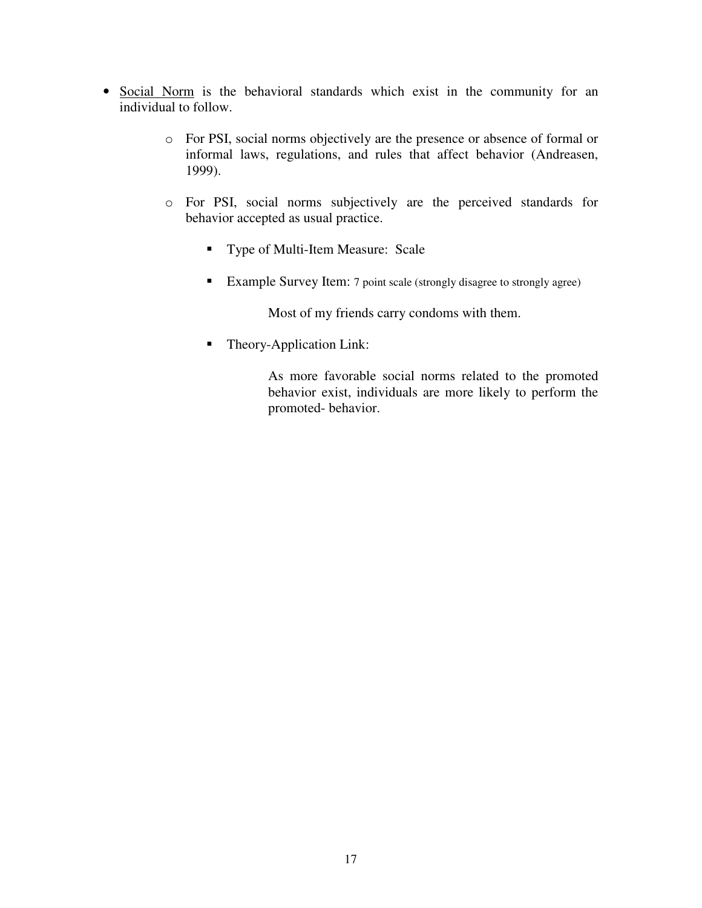- Social Norm is the behavioral standards which exist in the community for an individual to follow.
	- o For PSI, social norms objectively are the presence or absence of formal or informal laws, regulations, and rules that affect behavior (Andreasen, 1999).
	- o For PSI, social norms subjectively are the perceived standards for behavior accepted as usual practice.
		- **Type of Multi-Item Measure: Scale**
		- Example Survey Item: 7 point scale (strongly disagree to strongly agree)

Most of my friends carry condoms with them.

■ Theory-Application Link:

As more favorable social norms related to the promoted behavior exist, individuals are more likely to perform the promoted- behavior.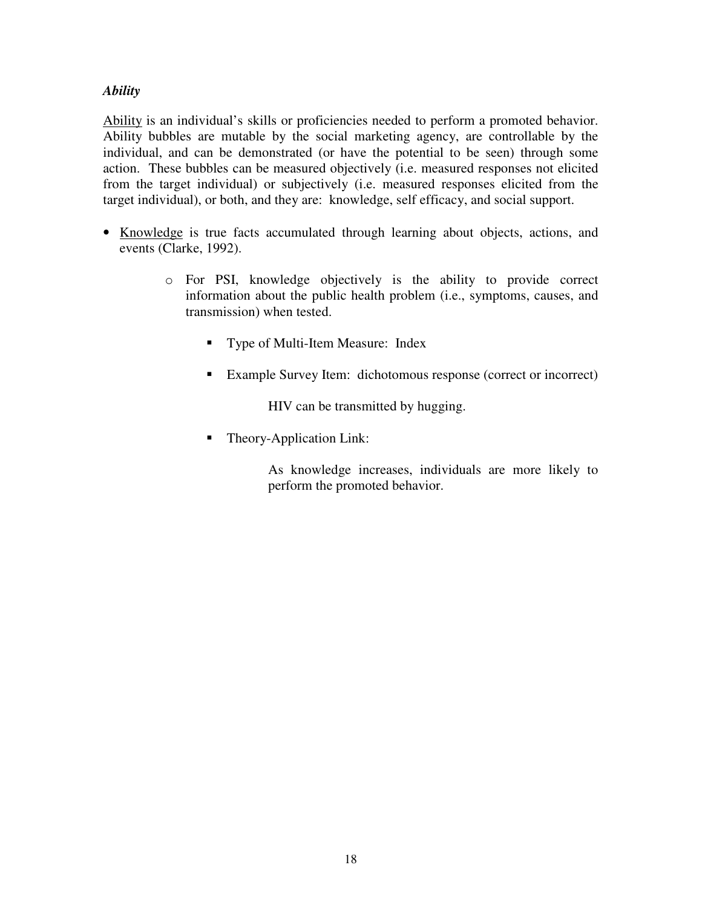#### *Ability*

Ability is an individual's skills or proficiencies needed to perform a promoted behavior. Ability bubbles are mutable by the social marketing agency, are controllable by the individual, and can be demonstrated (or have the potential to be seen) through some action. These bubbles can be measured objectively (i.e. measured responses not elicited from the target individual) or subjectively (i.e. measured responses elicited from the target individual), or both, and they are: knowledge, self efficacy, and social support.

- Knowledge is true facts accumulated through learning about objects, actions, and events (Clarke, 1992).
	- o For PSI, knowledge objectively is the ability to provide correct information about the public health problem (i.e., symptoms, causes, and transmission) when tested.
		- **Type of Multi-Item Measure: Index**
		- Example Survey Item: dichotomous response (correct or incorrect)

HIV can be transmitted by hugging.

Theory-Application Link:

As knowledge increases, individuals are more likely to perform the promoted behavior.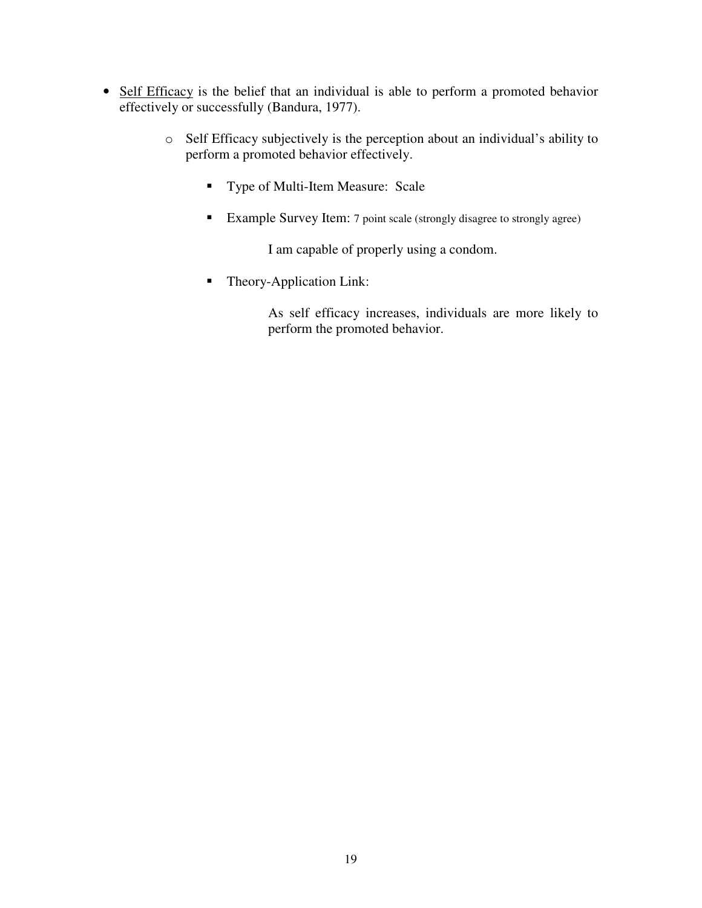- Self Efficacy is the belief that an individual is able to perform a promoted behavior effectively or successfully (Bandura, 1977).
	- o Self Efficacy subjectively is the perception about an individual's ability to perform a promoted behavior effectively.
		- **Type of Multi-Item Measure: Scale**
		- Example Survey Item: <sup>7</sup> point scale (strongly disagree to strongly agree)

I am capable of properly using a condom.

■ Theory-Application Link:

As self efficacy increases, individuals are more likely to perform the promoted behavior.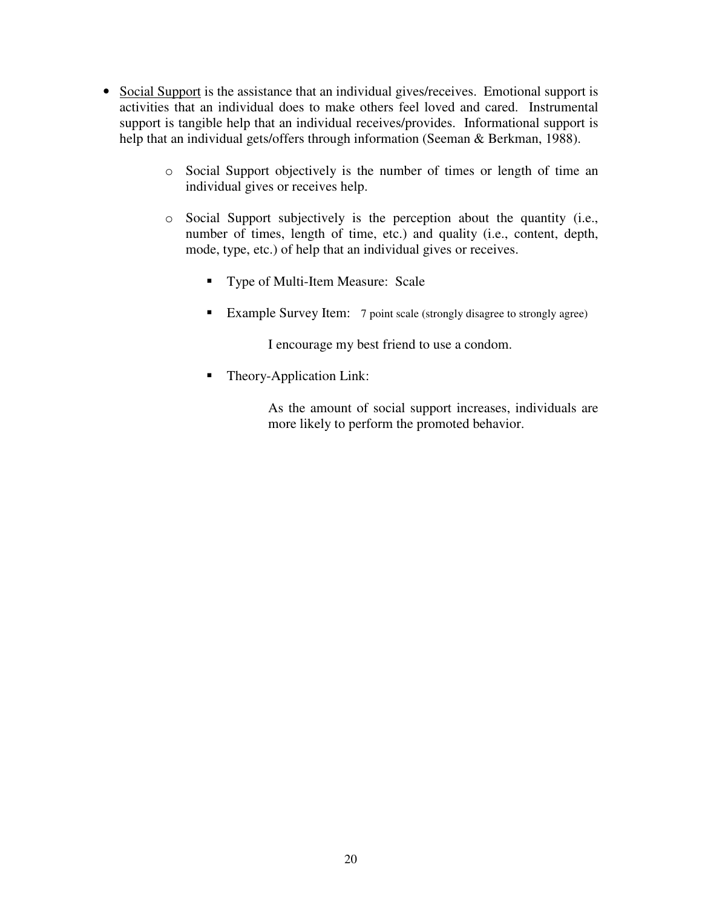- Social Support is the assistance that an individual gives/receives. Emotional support is activities that an individual does to make others feel loved and cared. Instrumental support is tangible help that an individual receives/provides. Informational support is help that an individual gets/offers through information (Seeman & Berkman, 1988).
	- o Social Support objectively is the number of times or length of time an individual gives or receives help.
	- o Social Support subjectively is the perception about the quantity (i.e., number of times, length of time, etc.) and quality (i.e., content, depth, mode, type, etc.) of help that an individual gives or receives.
		- Type of Multi-Item Measure: Scale
		- Example Survey Item: 7 point scale (strongly disagree to strongly agree)

I encourage my best friend to use a condom.

■ Theory-Application Link:

As the amount of social support increases, individuals are more likely to perform the promoted behavior.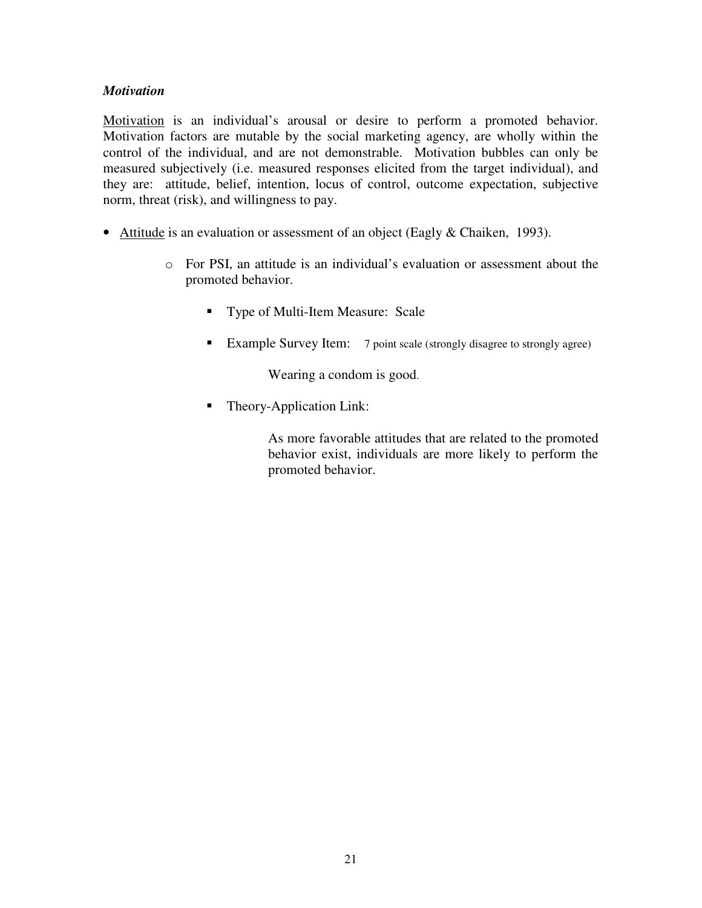#### *Motivation*

Motivation is an individual's arousal or desire to perform a promoted behavior. Motivation factors are mutable by the social marketing agency, are wholly within the control of the individual, and are not demonstrable. Motivation bubbles can only be measured subjectively (i.e. measured responses elicited from the target individual), and they are: attitude, belief, intention, locus of control, outcome expectation, subjective norm, threat (risk), and willingness to pay.

- Attitude is an evaluation or assessment of an object (Eagly & Chaiken, 1993).
	- o For PSI, an attitude is an individual's evaluation or assessment about the promoted behavior.
		- Type of Multi-Item Measure: Scale
		- Example Survey Item: 7 point scale (strongly disagree to strongly agree)

Wearing a condom is good.

■ Theory-Application Link:

As more favorable attitudes that are related to the promoted behavior exist, individuals are more likely to perform the promoted behavior.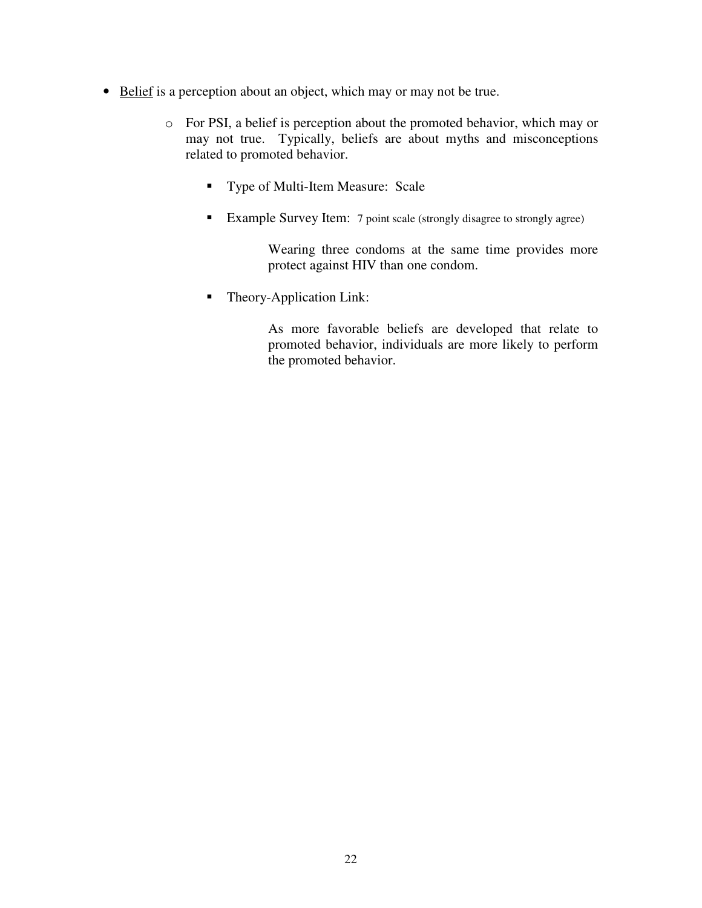- Belief is a perception about an object, which may or may not be true.
	- o For PSI, a belief is perception about the promoted behavior, which may or may not true. Typically, beliefs are about myths and misconceptions related to promoted behavior.
		- **Type of Multi-Item Measure: Scale**
		- **Example Survey Item:** 7 point scale (strongly disagree to strongly agree)

Wearing three condoms at the same time provides more protect against HIV than one condom.

• Theory-Application Link:

As more favorable beliefs are developed that relate to promoted behavior, individuals are more likely to perform the promoted behavior.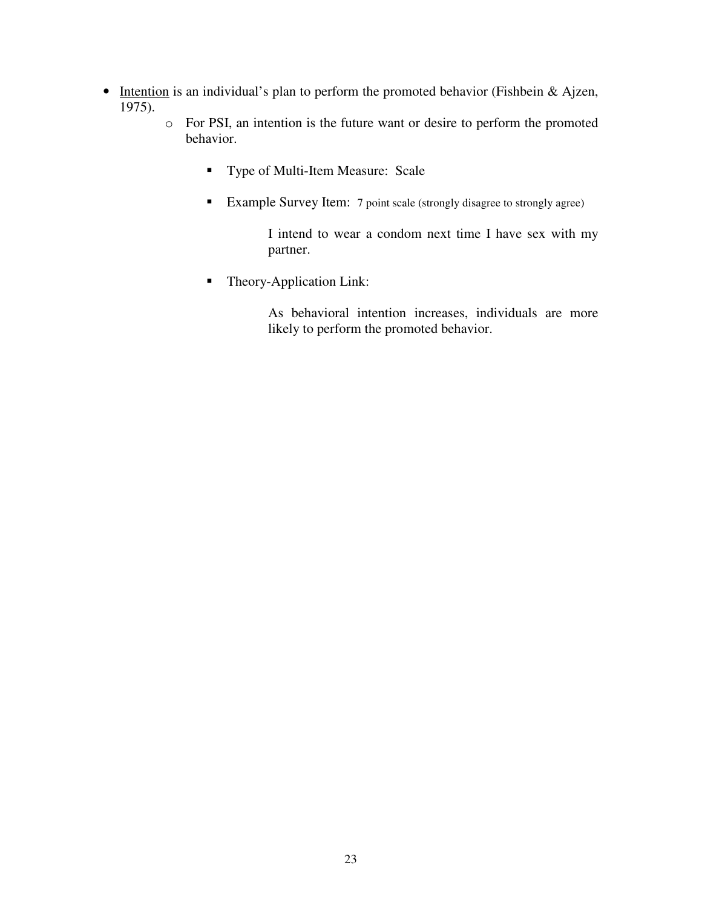- Intention is an individual's plan to perform the promoted behavior (Fishbein & Ajzen, 1975).
	- o For PSI, an intention is the future want or desire to perform the promoted behavior.
		- **Type of Multi-Item Measure: Scale**
		- Example Survey Item: 7 point scale (strongly disagree to strongly agree)

I intend to wear a condom next time I have sex with my partner.

• Theory-Application Link:

As behavioral intention increases, individuals are more likely to perform the promoted behavior.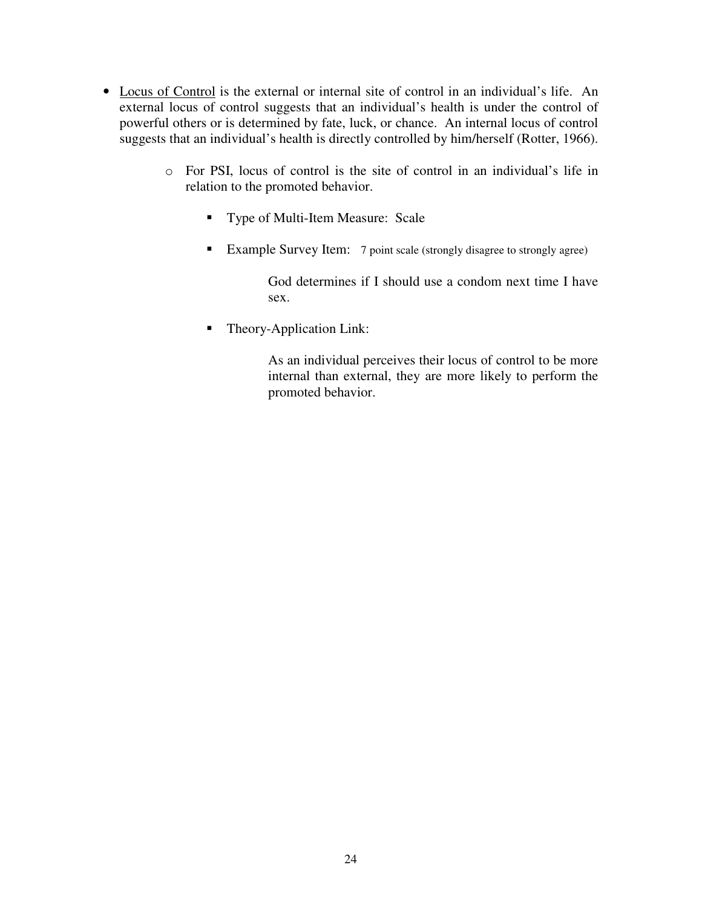- Locus of Control is the external or internal site of control in an individual's life. An external locus of control suggests that an individual's health is under the control of powerful others or is determined by fate, luck, or chance. An internal locus of control suggests that an individual's health is directly controlled by him/herself (Rotter, 1966).
	- o For PSI, locus of control is the site of control in an individual's life in relation to the promoted behavior.
		- **Type of Multi-Item Measure: Scale**
		- **Example Survey Item:** 7 point scale (strongly disagree to strongly agree)

God determines if I should use a condom next time I have sex.

• Theory-Application Link:

As an individual perceives their locus of control to be more internal than external, they are more likely to perform the promoted behavior.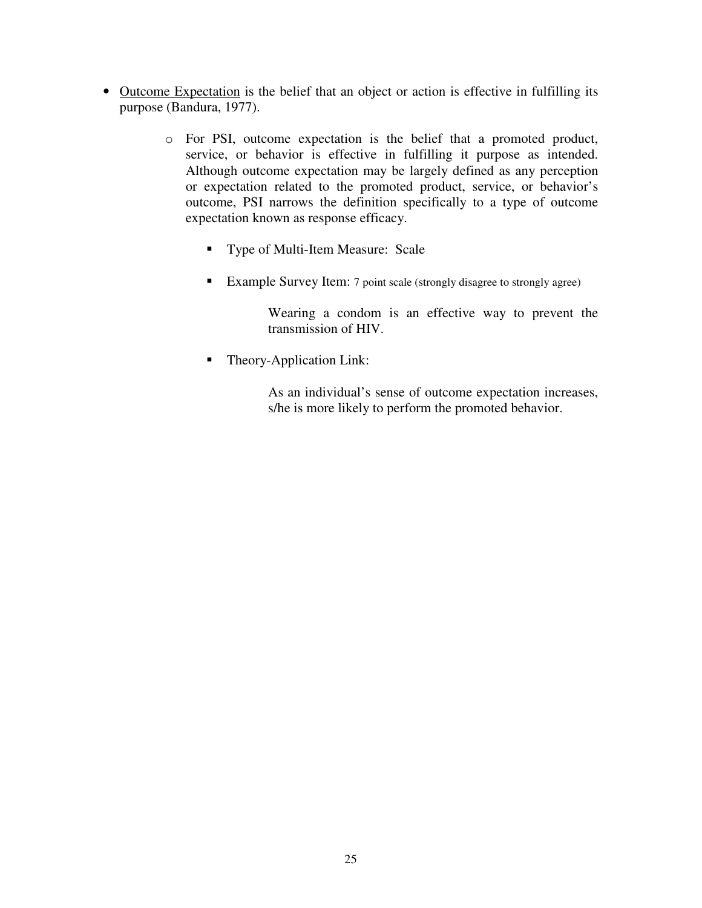- Outcome Expectation is the belief that an object or action is effective in fulfilling its purpose (Bandura, 1977).
	- o For PSI, outcome expectation is the belief that a promoted product, service, or behavior is effective in fulfilling it purpose as intended. Although outcome expectation may be largely defined as any perception or expectation related to the promoted product, service, or behavior's outcome, PSI narrows the definition specifically to a type of outcome expectation known as response efficacy.
		- **Type of Multi-Item Measure: Scale**
		- Example Survey Item: 7 point scale (strongly disagree to strongly agree)

Wearing a condom is an effective way to prevent the transmission of HIV.

■ Theory-Application Link:

As an individual's sense of outcome expectation increases, s/he is more likely to perform the promoted behavior.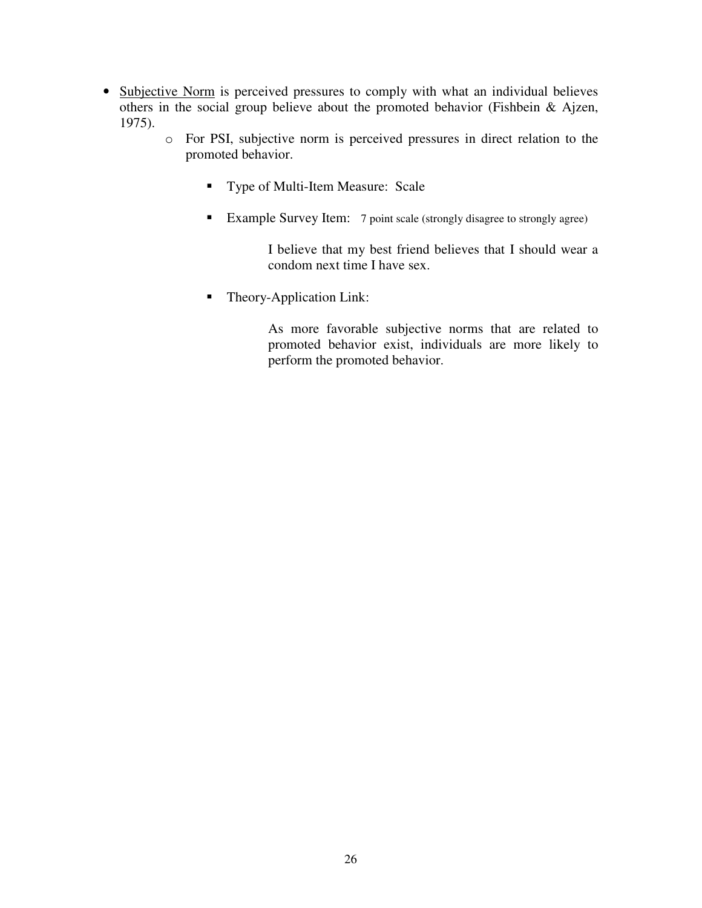- Subjective Norm is perceived pressures to comply with what an individual believes others in the social group believe about the promoted behavior (Fishbein & Ajzen, 1975).
	- o For PSI, subjective norm is perceived pressures in direct relation to the promoted behavior.
		- **Type of Multi-Item Measure: Scale**
		- **Example Survey Item:** 7 point scale (strongly disagree to strongly agree)

I believe that my best friend believes that I should wear a condom next time I have sex.

• Theory-Application Link:

As more favorable subjective norms that are related to promoted behavior exist, individuals are more likely to perform the promoted behavior.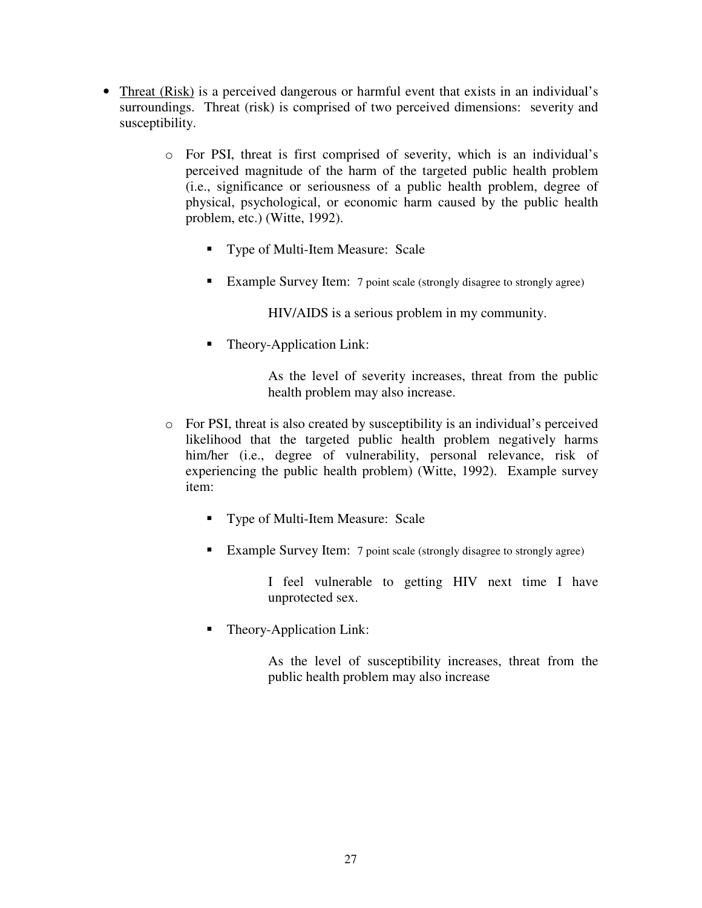- Threat (Risk) is a perceived dangerous or harmful event that exists in an individual's surroundings. Threat (risk) is comprised of two perceived dimensions: severity and susceptibility.
	- o For PSI, threat is first comprised of severity, which is an individual's perceived magnitude of the harm of the targeted public health problem (i.e., significance or seriousness of a public health problem, degree of physical, psychological, or economic harm caused by the public health problem, etc.) (Witte, 1992).
		- **Type of Multi-Item Measure: Scale**
		- Example Survey Item: 7 point scale (strongly disagree to strongly agree)

HIV/AIDS is a serious problem in my community.

Theory-Application Link:

As the level of severity increases, threat from the public health problem may also increase.

- o For PSI, threat is also created by susceptibility is an individual's perceived likelihood that the targeted public health problem negatively harms him/her (i.e., degree of vulnerability, personal relevance, risk of experiencing the public health problem) (Witte, 1992). Example survey item:
	- Type of Multi-Item Measure: Scale
	- Example Survey Item: 7 point scale (strongly disagree to strongly agree)

I feel vulnerable to getting HIV next time I have unprotected sex.

Theory-Application Link:

As the level of susceptibility increases, threat from the public health problem may also increase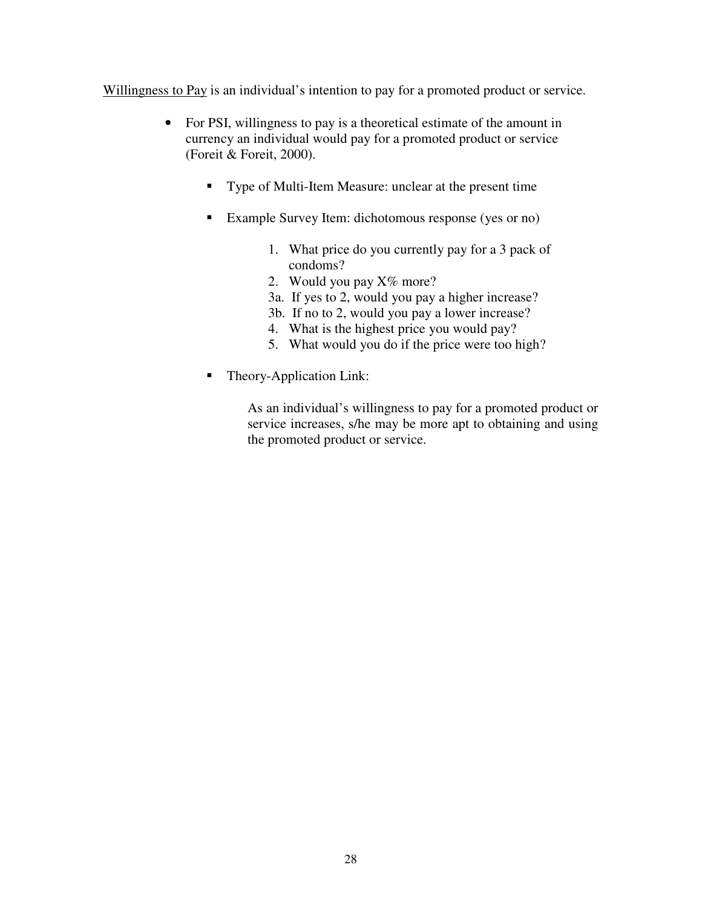Willingness to Pay is an individual's intention to pay for a promoted product or service.

- For PSI, willingness to pay is a theoretical estimate of the amount in currency an individual would pay for a promoted product or service (Foreit & Foreit, 2000).
	- Type of Multi-Item Measure: unclear at the present time
	- Example Survey Item: dichotomous response (yes or no)
		- 1. What price do you currently pay for a 3 pack of condoms?
		- 2. Would you pay  $X\%$  more?
		- 3a. If yes to 2, would you pay a higher increase?
		- 3b. If no to 2, would you pay a lower increase?
		- 4. What is the highest price you would pay?
		- 5. What would you do if the price were too high?
	- Theory-Application Link:

As an individual's willingness to pay for a promoted product or service increases, s/he may be more apt to obtaining and using the promoted product or service.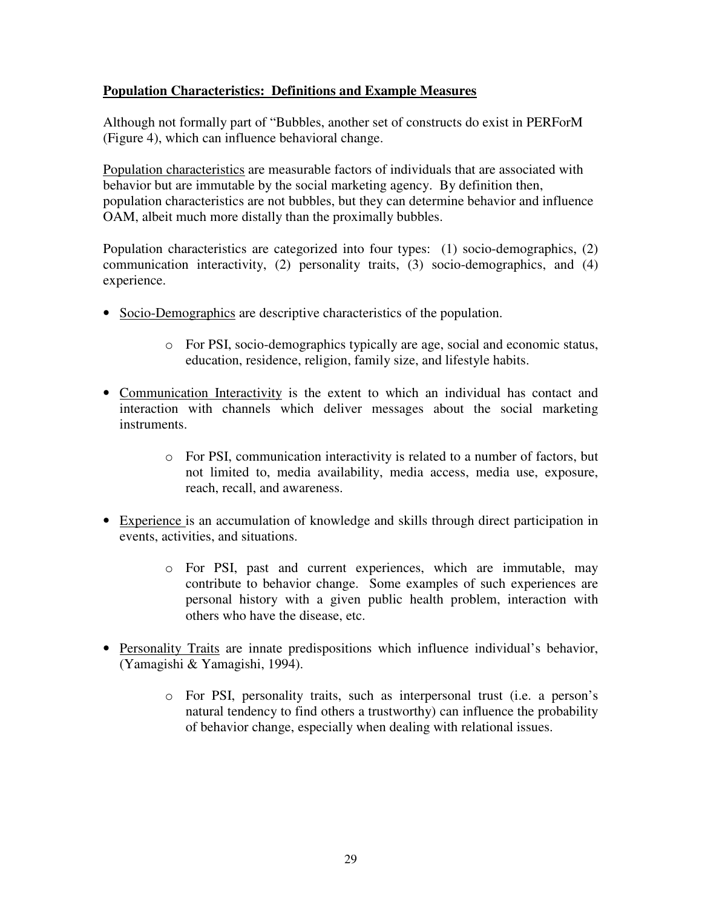#### **Population Characteristics: Definitions and Example Measures**

Although not formally part of "Bubbles, another set of constructs do exist in PERForM (Figure 4), which can influence behavioral change.

Population characteristics are measurable factors of individuals that are associated with behavior but are immutable by the social marketing agency. By definition then, population characteristics are not bubbles, but they can determine behavior and influence OAM, albeit much more distally than the proximally bubbles.

Population characteristics are categorized into four types: (1) socio-demographics, (2) communication interactivity, (2) personality traits, (3) socio-demographics, and (4) experience.

- Socio-Demographics are descriptive characteristics of the population.
	- o For PSI, socio-demographics typically are age, social and economic status, education, residence, religion, family size, and lifestyle habits.
- Communication Interactivity is the extent to which an individual has contact and interaction with channels which deliver messages about the social marketing instruments.
	- o For PSI, communication interactivity is related to a number of factors, but not limited to, media availability, media access, media use, exposure, reach, recall, and awareness.
- Experience is an accumulation of knowledge and skills through direct participation in events, activities, and situations.
	- o For PSI, past and current experiences, which are immutable, may contribute to behavior change. Some examples of such experiences are personal history with a given public health problem, interaction with others who have the disease, etc.
- Personality Traits are innate predispositions which influence individual's behavior, (Yamagishi & Yamagishi, 1994).
	- o For PSI, personality traits, such as interpersonal trust (i.e. a person's natural tendency to find others a trustworthy) can influence the probability of behavior change, especially when dealing with relational issues.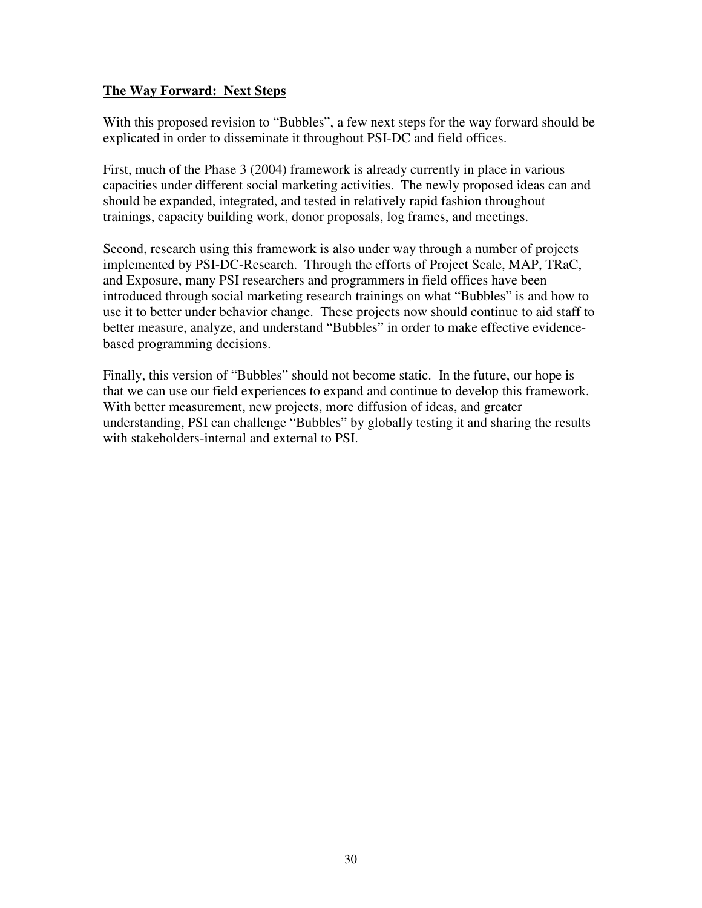#### **The Way Forward: Next Steps**

With this proposed revision to "Bubbles", a few next steps for the way forward should be explicated in order to disseminate it throughout PSI-DC and field offices.

First, much of the Phase 3 (2004) framework is already currently in place in various capacities under different social marketing activities. The newly proposed ideas can and should be expanded, integrated, and tested in relatively rapid fashion throughout trainings, capacity building work, donor proposals, log frames, and meetings.

Second, research using this framework is also under way through a number of projects implemented by PSI-DC-Research. Through the efforts of Project Scale, MAP, TRaC, and Exposure, many PSI researchers and programmers in field offices have been introduced through social marketing research trainings on what "Bubbles" is and how to use it to better under behavior change. These projects now should continue to aid staff to better measure, analyze, and understand "Bubbles" in order to make effective evidencebased programming decisions.

Finally, this version of "Bubbles" should not become static. In the future, our hope is that we can use our field experiences to expand and continue to develop this framework. With better measurement, new projects, more diffusion of ideas, and greater understanding, PSI can challenge "Bubbles" by globally testing it and sharing the results with stakeholders-internal and external to PSI.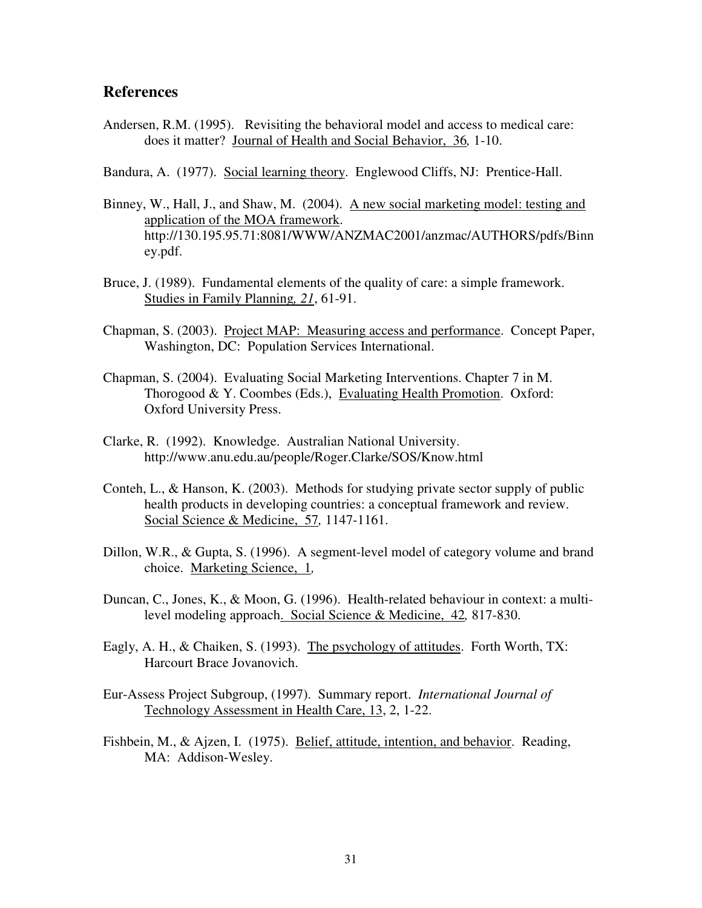#### **References**

- Andersen, R.M. (1995). Revisiting the behavioral model and access to medical care: does it matter? Journal of Health and Social Behavior, 36*,* 1-10.
- Bandura, A. (1977). Social learning theory. Englewood Cliffs, NJ: Prentice-Hall.
- Binney, W., Hall, J., and Shaw, M. (2004). A new social marketing model: testing and application of the MOA framework. http://130.195.95.71:8081/WWW/ANZMAC2001/anzmac/AUTHORS/pdfs/Binn ey.pdf.
- Bruce, J. (1989). Fundamental elements of the quality of care: a simple framework. Studies in Family Planning*, 21*, 61-91.
- Chapman, S. (2003). Project MAP: Measuring access and performance. Concept Paper, Washington, DC: Population Services International.
- Chapman, S. (2004). Evaluating Social Marketing Interventions. Chapter 7 in M. Thorogood & Y. Coombes (Eds.), Evaluating Health Promotion. Oxford: Oxford University Press.
- Clarke, R. (1992). Knowledge. Australian National University. http://www.anu.edu.au/people/Roger.Clarke/SOS/Know.html
- Conteh, L., & Hanson, K. (2003). Methods for studying private sector supply of public health products in developing countries: a conceptual framework and review. Social Science & Medicine, 57*,* 1147-1161.
- Dillon, W.R., & Gupta, S. (1996). A segment-level model of category volume and brand choice. Marketing Science, 1*,*
- Duncan, C., Jones, K., & Moon, G. (1996). Health-related behaviour in context: a multilevel modeling approach. Social Science & Medicine, 42*,* 817-830.
- Eagly, A. H., & Chaiken, S. (1993). The psychology of attitudes. Forth Worth, TX: Harcourt Brace Jovanovich.
- Eur-Assess Project Subgroup, (1997). Summary report. *International Journal of* Technology Assessment in Health Care, 13, 2, 1-22.
- Fishbein, M., & Ajzen, I. (1975). Belief, attitude, intention, and behavior. Reading, MA: Addison-Wesley.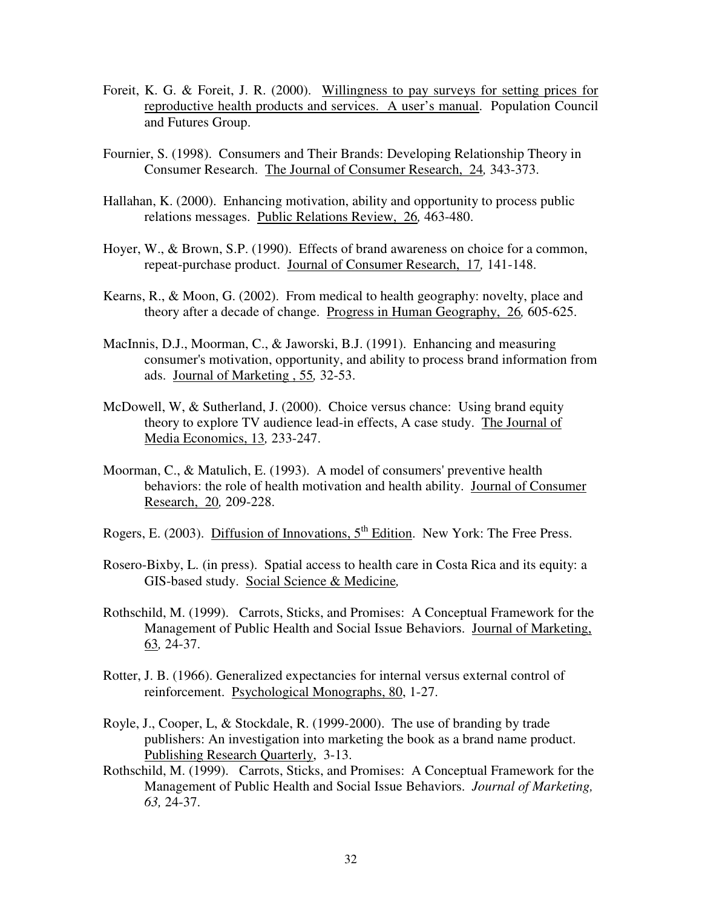- Foreit, K. G. & Foreit, J. R. (2000). Willingness to pay surveys for setting prices for reproductive health products and services. A user's manual. Population Council and Futures Group.
- Fournier, S. (1998). Consumers and Their Brands: Developing Relationship Theory in Consumer Research. The Journal of Consumer Research, 24*,* 343-373.
- Hallahan, K. (2000). Enhancing motivation, ability and opportunity to process public relations messages. Public Relations Review, 26*,* 463-480.
- Hoyer, W., & Brown, S.P. (1990). Effects of brand awareness on choice for a common, repeat-purchase product. Journal of Consumer Research, 17*,* 141-148.
- Kearns, R., & Moon, G. (2002). From medical to health geography: novelty, place and theory after a decade of change. Progress in Human Geography, 26*,* 605-625.
- MacInnis, D.J., Moorman, C., & Jaworski, B.J. (1991). Enhancing and measuring consumer's motivation, opportunity, and ability to process brand information from ads. Journal of Marketing , 55*,* 32-53.
- McDowell, W, & Sutherland, J. (2000). Choice versus chance: Using brand equity theory to explore TV audience lead-in effects, A case study. The Journal of Media Economics, 13*,* 233-247.
- Moorman, C., & Matulich, E. (1993). A model of consumers'preventive health behaviors: the role of health motivation and health ability. Journal of Consumer Research, 20*,* 209-228.
- Rogers, E. (2003). Diffusion of Innovations, 5<sup>th</sup> Edition. New York: The Free Press.
- Rosero-Bixby, L. (in press). Spatial access to health care in Costa Rica and its equity: a GIS-based study. Social Science & Medicine*,*
- Rothschild, M. (1999). Carrots, Sticks, and Promises: A Conceptual Framework for the Management of Public Health and Social Issue Behaviors. Journal of Marketing, 63*,* 24-37.
- Rotter, J. B. (1966). Generalized expectancies for internal versus external control of reinforcement. Psychological Monographs, 80, 1-27.
- Royle, J., Cooper, L, & Stockdale, R. (1999-2000). The use of branding by trade publishers: An investigation into marketing the book as a brand name product. Publishing Research Quarterly, 3-13.
- Rothschild, M. (1999). Carrots, Sticks, and Promises: A Conceptual Framework for the Management of Public Health and Social Issue Behaviors. *Journal of Marketing, 63,* 24-37.